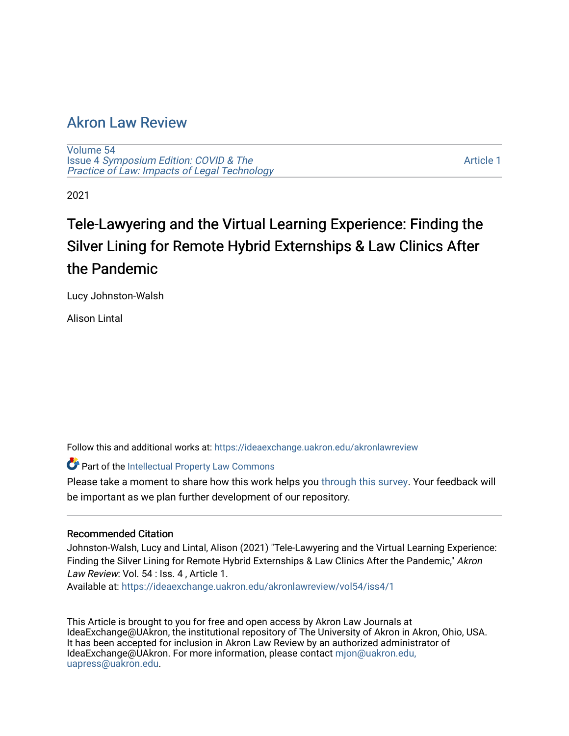## [Akron Law Review](https://ideaexchange.uakron.edu/akronlawreview)

[Volume 54](https://ideaexchange.uakron.edu/akronlawreview/vol54) Issue 4 [Symposium Edition: COVID & The](https://ideaexchange.uakron.edu/akronlawreview/vol54/iss4)  [Practice of Law: Impacts of Legal Technology](https://ideaexchange.uakron.edu/akronlawreview/vol54/iss4)

[Article 1](https://ideaexchange.uakron.edu/akronlawreview/vol54/iss4/1) 

2021

# Tele-Lawyering and the Virtual Learning Experience: Finding the Silver Lining for Remote Hybrid Externships & Law Clinics After the Pandemic

Lucy Johnston-Walsh

Alison Lintal

Follow this and additional works at: [https://ideaexchange.uakron.edu/akronlawreview](https://ideaexchange.uakron.edu/akronlawreview?utm_source=ideaexchange.uakron.edu%2Fakronlawreview%2Fvol54%2Fiss4%2F1&utm_medium=PDF&utm_campaign=PDFCoverPages)

Part of the [Intellectual Property Law Commons](http://network.bepress.com/hgg/discipline/896?utm_source=ideaexchange.uakron.edu%2Fakronlawreview%2Fvol54%2Fiss4%2F1&utm_medium=PDF&utm_campaign=PDFCoverPages) 

Please take a moment to share how this work helps you [through this survey](http://survey.az1.qualtrics.com/SE/?SID=SV_eEVH54oiCbOw05f&URL=https://ideaexchange.uakron.edu/akronlawreview/vol54/iss4/1). Your feedback will be important as we plan further development of our repository.

#### Recommended Citation

Johnston-Walsh, Lucy and Lintal, Alison (2021) "Tele-Lawyering and the Virtual Learning Experience: Finding the Silver Lining for Remote Hybrid Externships & Law Clinics After the Pandemic," Akron Law Review: Vol. 54 : Iss. 4, Article 1.

Available at: [https://ideaexchange.uakron.edu/akronlawreview/vol54/iss4/1](https://ideaexchange.uakron.edu/akronlawreview/vol54/iss4/1?utm_source=ideaexchange.uakron.edu%2Fakronlawreview%2Fvol54%2Fiss4%2F1&utm_medium=PDF&utm_campaign=PDFCoverPages) 

This Article is brought to you for free and open access by Akron Law Journals at IdeaExchange@UAkron, the institutional repository of The University of Akron in Akron, Ohio, USA. It has been accepted for inclusion in Akron Law Review by an authorized administrator of IdeaExchange@UAkron. For more information, please contact [mjon@uakron.edu,](mailto:mjon@uakron.edu,%20uapress@uakron.edu) [uapress@uakron.edu.](mailto:mjon@uakron.edu,%20uapress@uakron.edu)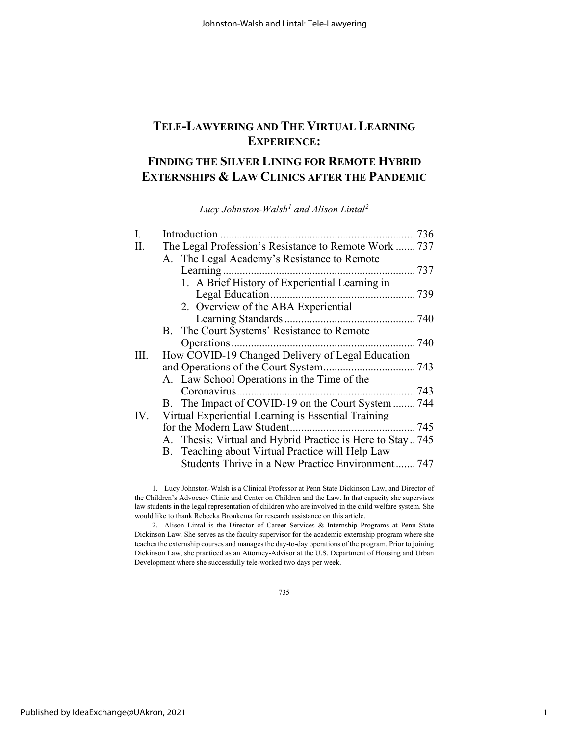### **TELE-LAWYERING AND THE VIRTUAL LEARNING EXPERIENCE:**

### **FINDING THE SILVER LINING FOR REMOTE HYBRID EXTERNSHIPS & LAW CLINICS AFTER THE PANDEMIC**

*Lucy Johnston-Walsh[1](#page-1-0) and Alison Lintal[2](#page-1-1)*

| I.  |                                                           |
|-----|-----------------------------------------------------------|
| Π.  | The Legal Profession's Resistance to Remote Work  737     |
|     | A. The Legal Academy's Resistance to Remote               |
|     |                                                           |
|     | 1. A Brief History of Experiential Learning in            |
|     |                                                           |
|     | 2. Overview of the ABA Experiential                       |
|     |                                                           |
|     | B. The Court Systems' Resistance to Remote                |
|     |                                                           |
| Ш.  | How COVID-19 Changed Delivery of Legal Education          |
|     |                                                           |
|     | A. Law School Operations in the Time of the               |
|     |                                                           |
|     | B. The Impact of COVID-19 on the Court System  744        |
| IV. | Virtual Experiential Learning is Essential Training       |
|     |                                                           |
|     | A. Thesis: Virtual and Hybrid Practice is Here to Stay745 |
|     | B. Teaching about Virtual Practice will Help Law          |
|     | Students Thrive in a New Practice Environment 747         |
|     |                                                           |

735

<span id="page-1-0"></span><sup>1.</sup> Lucy Johnston-Walsh is a Clinical Professor at Penn State Dickinson Law, and Director of the Children's Advocacy Clinic and Center on Children and the Law. In that capacity she supervises law students in the legal representation of children who are involved in the child welfare system. She would like to thank Rebecka Bronkema for research assistance on this article.

<span id="page-1-1"></span><sup>2.</sup> Alison Lintal is the Director of Career Services & Internship Programs at Penn State Dickinson Law. She serves as the faculty supervisor for the academic externship program where she teaches the externship courses and manages the day-to-day operations of the program. Prior to joining Dickinson Law, she practiced as an Attorney-Advisor at the U.S. Department of Housing and Urban Development where she successfully tele-worked two days per week.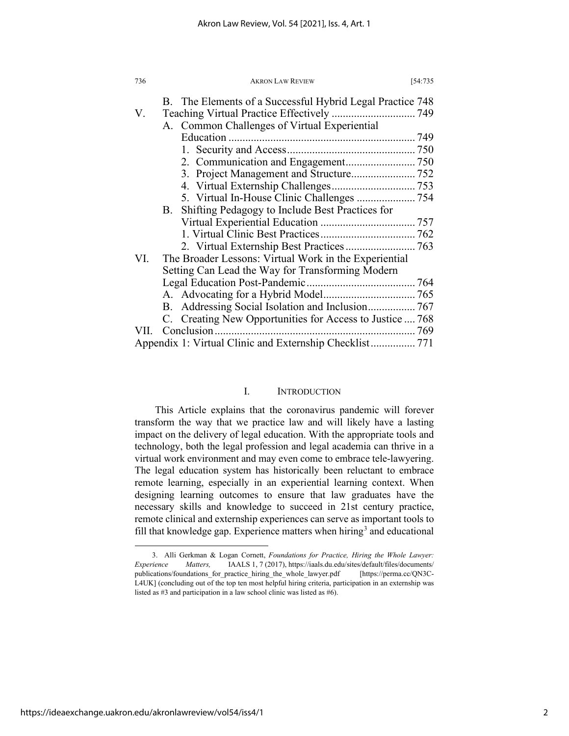| 736 | <b>AKRON LAW REVIEW</b>                                   | [54:735] |
|-----|-----------------------------------------------------------|----------|
|     | B. The Elements of a Successful Hybrid Legal Practice 748 |          |
| V.  |                                                           |          |
|     | A. Common Challenges of Virtual Experiential              |          |
|     |                                                           |          |
|     |                                                           |          |
|     |                                                           |          |
|     |                                                           |          |
|     |                                                           |          |
|     |                                                           |          |
|     | B. Shifting Pedagogy to Include Best Practices for        |          |
|     |                                                           |          |
|     |                                                           |          |
|     | 2. Virtual Externship Best Practices 763                  |          |
| VI. | The Broader Lessons: Virtual Work in the Experiential     |          |
|     | Setting Can Lead the Way for Transforming Modern          |          |
|     |                                                           |          |
|     |                                                           |          |
|     | B. Addressing Social Isolation and Inclusion 767          |          |
|     | C. Creating New Opportunities for Access to Justice  768  |          |
|     |                                                           |          |
|     |                                                           |          |

#### I. INTRODUCTION

This Article explains that the coronavirus pandemic will forever transform the way that we practice law and will likely have a lasting impact on the delivery of legal education. With the appropriate tools and technology, both the legal profession and legal academia can thrive in a virtual work environment and may even come to embrace tele-lawyering. The legal education system has historically been reluctant to embrace remote learning, especially in an experiential learning context. When designing learning outcomes to ensure that law graduates have the necessary skills and knowledge to succeed in 21st century practice, remote clinical and externship experiences can serve as important tools to fill that knowledge gap. Experience matters when hiring<sup>[3](#page-2-0)</sup> and educational

<span id="page-2-0"></span><sup>3.</sup> Alli Gerkman & Logan Cornett, *Foundations for Practice, Hiring the Whole Lawyer: Experience Matters,* IAALS 1, 7 (2017), https://iaals.du.edu/sites/default/files/documents/ publications/foundations for practice hiring the whole lawyer.pdf [https://perma.cc/QN3C-L4UK] (concluding out of the top ten most helpful hiring criteria, participation in an externship was listed as #3 and participation in a law school clinic was listed as #6).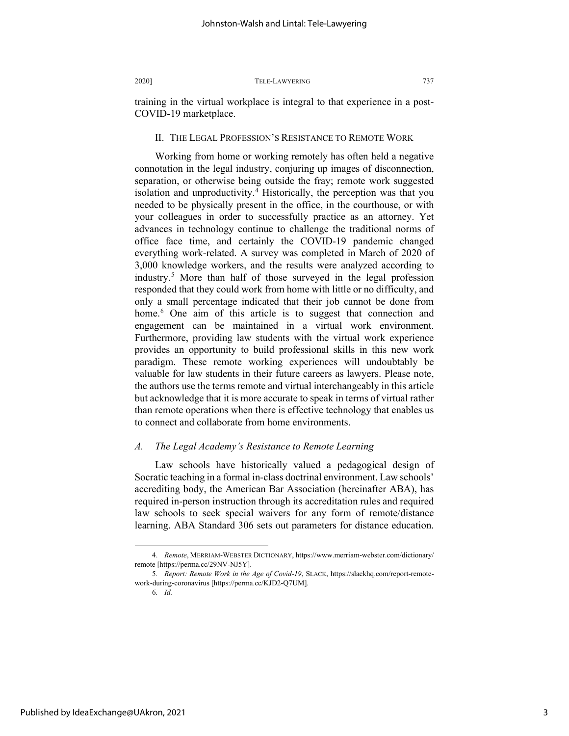training in the virtual workplace is integral to that experience in a post-COVID-19 marketplace.

#### II. THE LEGAL PROFESSION'S RESISTANCE TO REMOTE WORK

Working from home or working remotely has often held a negative connotation in the legal industry, conjuring up images of disconnection, separation, or otherwise being outside the fray; remote work suggested isolation and unproductivity.<sup>[4](#page-3-0)</sup> Historically, the perception was that you needed to be physically present in the office, in the courthouse, or with your colleagues in order to successfully practice as an attorney. Yet advances in technology continue to challenge the traditional norms of office face time, and certainly the COVID-19 pandemic changed everything work-related. A survey was completed in March of 2020 of 3,000 knowledge workers, and the results were analyzed according to industry.[5](#page-3-1) More than half of those surveyed in the legal profession responded that they could work from home with little or no difficulty, and only a small percentage indicated that their job cannot be done from home.<sup>[6](#page-3-2)</sup> One aim of this article is to suggest that connection and engagement can be maintained in a virtual work environment. Furthermore, providing law students with the virtual work experience provides an opportunity to build professional skills in this new work paradigm. These remote working experiences will undoubtably be valuable for law students in their future careers as lawyers. Please note, the authors use the terms remote and virtual interchangeably in this article but acknowledge that it is more accurate to speak in terms of virtual rather than remote operations when there is effective technology that enables us to connect and collaborate from home environments.

#### *A. The Legal Academy's Resistance to Remote Learning*

Law schools have historically valued a pedagogical design of Socratic teaching in a formal in-class doctrinal environment. Law schools' accrediting body, the American Bar Association (hereinafter ABA), has required in-person instruction through its accreditation rules and required law schools to seek special waivers for any form of remote/distance learning. ABA Standard 306 sets out parameters for distance education.

<span id="page-3-2"></span>Published by IdeaExchange@UAkron, 2021

<span id="page-3-0"></span><sup>4.</sup> *Remote*, MERRIAM-WEBSTER DICTIONARY, https://www.merriam-webster.com/dictionary/ remote [https://perma.cc/29NV-NJ5Y].

<span id="page-3-1"></span><sup>5</sup>*. Report: Remote Work in the Age of Covid-19*, SLACK, https://slackhq.com/report-remotework-during-coronavirus [https://perma.cc/KJD2-Q7UM].

<sup>6</sup>*. Id.*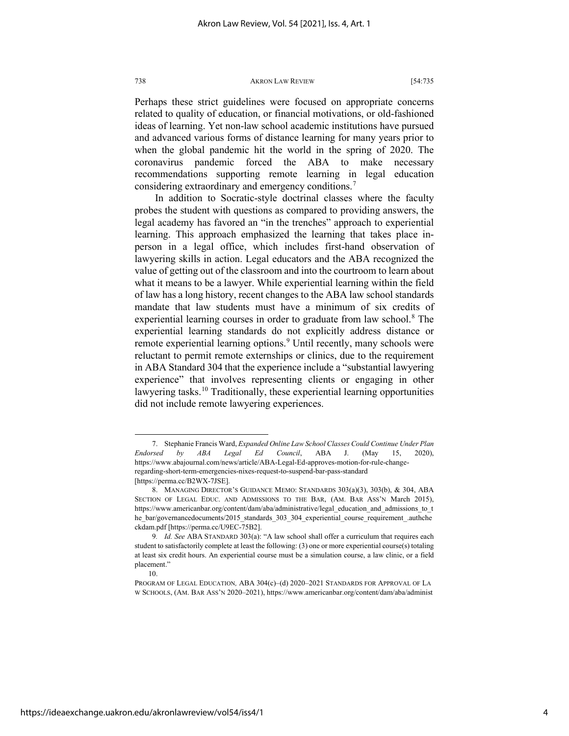Perhaps these strict guidelines were focused on appropriate concerns related to quality of education, or financial motivations, or old-fashioned ideas of learning. Yet non-law school academic institutions have pursued and advanced various forms of distance learning for many years prior to when the global pandemic hit the world in the spring of 2020. The coronavirus pandemic forced the ABA to make necessary recommendations supporting remote learning in legal education considering extraordinary and emergency conditions.<sup>[7](#page-4-0)</sup>

<span id="page-4-4"></span>In addition to Socratic-style doctrinal classes where the faculty probes the student with questions as compared to providing answers, the legal academy has favored an "in the trenches" approach to experiential learning. This approach emphasized the learning that takes place inperson in a legal office, which includes first-hand observation of lawyering skills in action. Legal educators and the ABA recognized the value of getting out of the classroom and into the courtroom to learn about what it means to be a lawyer. While experiential learning within the field of law has a long history, recent changes to the ABA law school standards mandate that law students must have a minimum of six credits of experiential learning courses in order to graduate from law school.<sup>[8](#page-4-1)</sup> The experiential learning standards do not explicitly address distance or remote experiential learning options.<sup>9</sup> Until recently, many schools were reluctant to permit remote externships or clinics, due to the requirement in ABA Standard 304 that the experience include a "substantial lawyering experience" that involves representing clients or engaging in other lawyering tasks.<sup>[10](#page-4-3)</sup> Traditionally, these experiential learning opportunities did not include remote lawyering experiences.

10.

<span id="page-4-0"></span><sup>7.</sup> Stephanie Francis Ward, *Expanded Online Law School Classes Could Continue Under Plan Endorsed by ABA Legal Ed Council*, ABA J. (May 15, 2020), https://www.abajournal.com/news/article/ABA-Legal-Ed-approves-motion-for-rule-changeregarding-short-term-emergencies-nixes-request-to-suspend-bar-pass-standard [https://perma.cc/B2WX-7JSE].

<span id="page-4-1"></span><sup>8.</sup> MANAGING DIRECTOR'S GUIDANCE MEMO: STANDARDS 303(a)(3), 303(b), & 304, ABA SECTION OF LEGAL EDUC. AND ADMISSIONS TO THE BAR, (AM. BAR ASS'N March 2015), https://www.americanbar.org/content/dam/aba/administrative/legal\_education\_and\_admissions\_to\_t he\_bar/governancedocuments/2015\_standards\_303\_304\_experiential\_course\_requirement\_.authche ckdam.pdf [https://perma.cc/U9EC-75B2].

<span id="page-4-2"></span><sup>9</sup>*. Id. See* ABA STANDARD 303(a): "A law school shall offer a curriculum that requires each student to satisfactorily complete at least the following: (3) one or more experiential course(s) totaling at least six credit hours. An experiential course must be a simulation course, a law clinic, or a field placement."

<span id="page-4-3"></span>PROGRAM OF LEGAL EDUCATION*,* ABA 304(c)–(d) 2020–2021 STANDARDS FOR APPROVAL OF LA W SCHOOLS, (AM. BAR ASS'N 2020–2021), https://www.americanbar.org/content/dam/aba/administ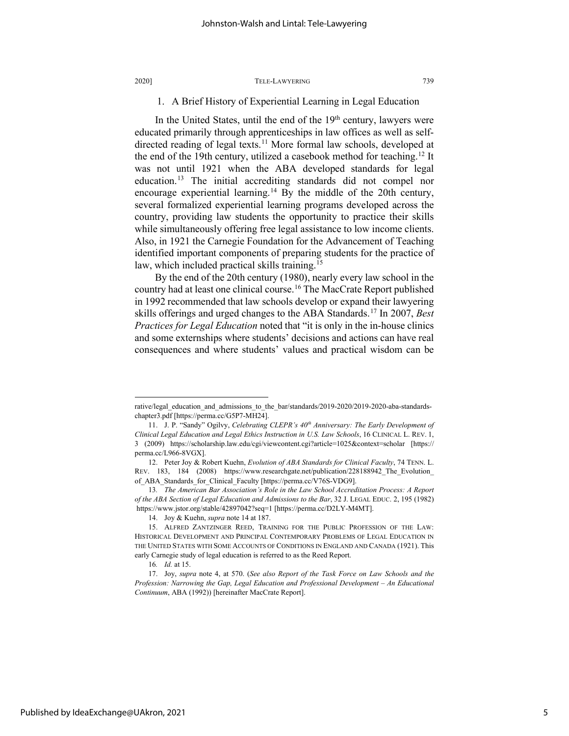#### 1. A Brief History of Experiential Learning in Legal Education

In the United States, until the end of the  $19<sup>th</sup>$  century, lawyers were educated primarily through apprenticeships in law offices as well as self-directed reading of legal texts.<sup>[11](#page-5-0)</sup> More formal law schools, developed at the end of the 19th century, utilized a casebook method for teaching.<sup>[12](#page-5-1)</sup> It was not until 1921 when the ABA developed standards for legal education.[13](#page-5-2) The initial accrediting standards did not compel nor encourage experiential learning.<sup>[14](#page-5-3)</sup> By the middle of the 20th century, several formalized experiential learning programs developed across the country, providing law students the opportunity to practice their skills while simultaneously offering free legal assistance to low income clients. Also, in 1921 the Carnegie Foundation for the Advancement of Teaching identified important components of preparing students for the practice of law, which included practical skills training.<sup>[15](#page-5-4)</sup>

By the end of the 20th century (1980), nearly every law school in the country had at least one clinical course.<sup>[16](#page-5-5)</sup> The MacCrate Report published in 1992 recommended that law schools develop or expand their lawyering skills offerings and urged changes to the ABA Standards.[17](#page-5-6) In 2007, *Best Practices for Legal Education* noted that "it is only in the in-house clinics and some externships where students' decisions and actions can have real consequences and where students' values and practical wisdom can be

rative/legal\_education\_and\_admissions\_to\_the\_bar/standards/2019-2020/2019-2020-aba-standardschapter3.pdf [https://perma.cc/G5P7-MH24].

<span id="page-5-0"></span><sup>11.</sup> J. P. "Sandy" Ogilvy, *Celebrating CLEPR's 40th Anniversary: The Early Development of Clinical Legal Education and Legal Ethics Instruction in U.S. Law Schools*, 16 CLINICAL L. REV. 1, 3 (2009) https://scholarship.law.edu/cgi/viewcontent.cgi?article=1025&context=scholar [https:// perma.cc/L966-8VGX].

<span id="page-5-1"></span><sup>12.</sup> Peter Joy & Robert Kuehn, *Evolution of ABA Standards for Clinical Faculty*, 74 TENN. L. REV. 183, 184 (2008) https://www.researchgate.net/publication/228188942 The Evolution of ABA Standards for Clinical Faculty [https://perma.cc/V76S-VDG9].

<span id="page-5-2"></span><sup>13</sup>*. The American Bar Association's Role in the Law School Accreditation Process: A Report of the ABA Section of Legal Education and Admissions to the Bar*, 32 J. LEGAL EDUC. 2, 195 (1982) https://www.jstor.org/stable/42897042?seq=1 [https://perma.cc/D2LY-M4MT].

<sup>14.</sup> Joy & Kuehn, *supra* note 14 at 187.

<span id="page-5-4"></span><span id="page-5-3"></span><sup>15.</sup> ALFRED ZANTZINGER REED, TRAINING FOR THE PUBLIC PROFESSION OF THE LAW: HISTORICAL DEVELOPMENT AND PRINCIPAL CONTEMPORARY PROBLEMS OF LEGAL EDUCATION IN THE UNITED STATES WITH SOME ACCOUNTS OF CONDITIONS IN ENGLAND AND CANADA (1921). This early Carnegie study of legal education is referred to as the Reed Report.

<sup>16</sup>*. Id.* at 15.

<span id="page-5-6"></span><span id="page-5-5"></span><sup>17.</sup> Joy, *supra* note 4, at 570. (*See also Report of the Task Force on Law Schools and the Profession: Narrowing the Gap, Legal Education and Professional Development – An Educational Continuum*, ABA (1992)) [hereinafter MacCrate Report].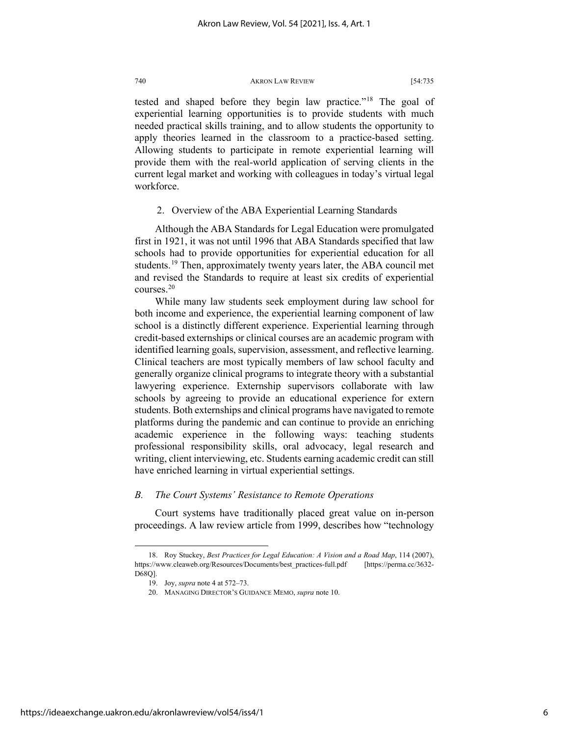tested and shaped before they begin law practice."[18](#page-6-0) The goal of experiential learning opportunities is to provide students with much needed practical skills training, and to allow students the opportunity to apply theories learned in the classroom to a practice-based setting. Allowing students to participate in remote experiential learning will provide them with the real-world application of serving clients in the current legal market and working with colleagues in today's virtual legal workforce.

2. Overview of the ABA Experiential Learning Standards

Although the ABA Standards for Legal Education were promulgated first in 1921, it was not until 1996 that ABA Standards specified that law schools had to provide opportunities for experiential education for all students.<sup>[19](#page-6-1)</sup> Then, approximately twenty years later, the ABA council met and revised the Standards to require at least six credits of experiential courses.[20](#page-6-2)

While many law students seek employment during law school for both income and experience, the experiential learning component of law school is a distinctly different experience. Experiential learning through credit-based externships or clinical courses are an academic program with identified learning goals, supervision, assessment, and reflective learning. Clinical teachers are most typically members of law school faculty and generally organize clinical programs to integrate theory with a substantial lawyering experience. Externship supervisors collaborate with law schools by agreeing to provide an educational experience for extern students. Both externships and clinical programs have navigated to remote platforms during the pandemic and can continue to provide an enriching academic experience in the following ways: teaching students professional responsibility skills, oral advocacy, legal research and writing, client interviewing, etc. Students earning academic credit can still have enriched learning in virtual experiential settings.

#### *B. The Court Systems' Resistance to Remote Operations*

Court systems have traditionally placed great value on in-person proceedings. A law review article from 1999, describes how "technology

<span id="page-6-2"></span><span id="page-6-1"></span><span id="page-6-0"></span><sup>18.</sup> Roy Stuckey, *Best Practices for Legal Education: A Vision and a Road Map*, 114 (2007), https://www.cleaweb.org/Resources/Documents/best\_practices-full.pdf [https://perma.cc/3632- D68Q].

<sup>19.</sup> Joy, *supra* note 4 at 572–73.

<sup>20.</sup> MANAGING DIRECTOR'S GUIDANCE MEMO, *supra* note 10.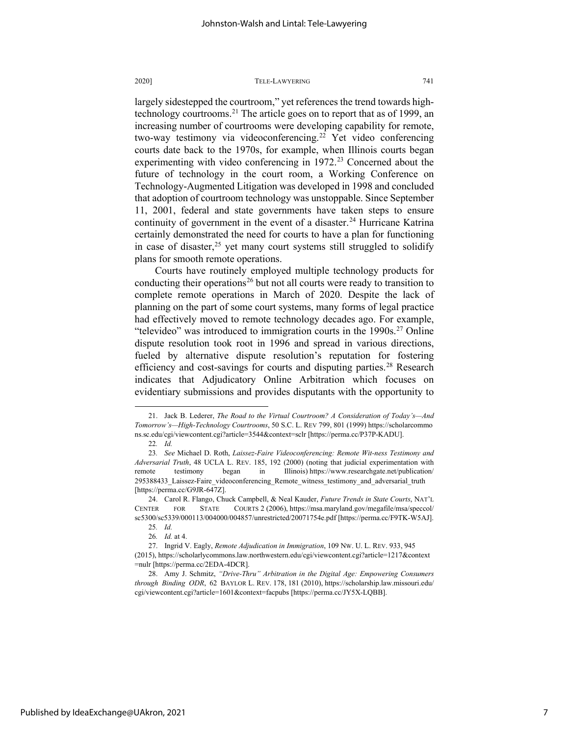largely sidestepped the courtroom," yet references the trend towards high-technology courtrooms.<sup>[21](#page-7-0)</sup> The article goes on to report that as of 1999, an increasing number of courtrooms were developing capability for remote, two-way testimony via videoconferencing.<sup>[22](#page-7-1)</sup> Yet video conferencing courts date back to the 1970s, for example, when Illinois courts began experimenting with video conferencing in  $1972<sup>23</sup>$  $1972<sup>23</sup>$  $1972<sup>23</sup>$  Concerned about the future of technology in the court room, a Working Conference on Technology-Augmented Litigation was developed in 1998 and concluded that adoption of courtroom technology was unstoppable. Since September 11, 2001, federal and state governments have taken steps to ensure continuity of government in the event of a disaster.<sup>[24](#page-7-3)</sup> Hurricane Katrina certainly demonstrated the need for courts to have a plan for functioning in case of disaster,<sup>[25](#page-7-4)</sup> yet many court systems still struggled to solidify plans for smooth remote operations.

Courts have routinely employed multiple technology products for conducting their operations<sup>[26](#page-7-5)</sup> but not all courts were ready to transition to complete remote operations in March of 2020. Despite the lack of planning on the part of some court systems, many forms of legal practice had effectively moved to remote technology decades ago. For example, "televideo" was introduced to immigration courts in the  $1990s<sup>27</sup>$  $1990s<sup>27</sup>$  $1990s<sup>27</sup>$  Online dispute resolution took root in 1996 and spread in various directions, fueled by alternative dispute resolution's reputation for fostering efficiency and cost-savings for courts and disputing parties.<sup>[28](#page-7-7)</sup> Research indicates that Adjudicatory Online Arbitration which focuses on evidentiary submissions and provides disputants with the opportunity to

<span id="page-7-0"></span><sup>21.</sup> Jack B. Lederer, *The Road to the Virtual Courtroom? A Consideration of Today's—And Tomorrow's—High-Technology Courtrooms*, 50 S.C. L. REV 799, 801 (1999) https://scholarcommo ns.sc.edu/cgi/viewcontent.cgi?article=3544&context=sclr [https://perma.cc/P37P-KADU].

<sup>22</sup>*. Id.*

<span id="page-7-2"></span><span id="page-7-1"></span><sup>23</sup>*. See* Michael D. Roth, *Laissez-Faire Videoconferencing: Remote Wit-ness Testimony and Adversarial Truth*, 48 UCLA L. REV. 185, 192 (2000) (noting that judicial experimentation with remote testimony began in Illinois) https://www.researchgate.net/publication/ 295388433 Laissez-Faire videoconferencing Remote witness testimony and adversarial truth [https://perma.cc/G9JR-647Z].

<span id="page-7-3"></span><sup>24.</sup> Carol R. Flango, Chuck Campbell, & Neal Kauder, *Future Trends in State Courts*, NAT'L CENTER FOR STATE COURTS 2 (2006), https://msa.maryland.gov/megafile/msa/speccol/ sc5300/sc5339/000113/004000/004857/unrestricted/20071754e.pdf [https://perma.cc/F9TK-W5AJ].

<sup>25</sup>*. Id.*

<sup>26</sup>*. Id.* at 4.

<span id="page-7-6"></span><span id="page-7-5"></span><span id="page-7-4"></span><sup>27.</sup> Ingrid V. Eagly, *Remote Adjudication in Immigration*, 109 NW. U. L. REV. 933, 945 (2015), https://scholarlycommons.law.northwestern.edu/cgi/viewcontent.cgi?article=1217&context =nulr [https://perma.cc/2EDA-4DCR].

<span id="page-7-7"></span><sup>28.</sup> Amy J. Schmitz, *"Drive-Thru" Arbitration in the Digital Age: Empowering Consumers through Binding ODR*, 62 BAYLOR L. REV. 178, 181 (2010), https://scholarship.law.missouri.edu/ cgi/viewcontent.cgi?article=1601&context=facpubs [https://perma.cc/JY5X-LQBB].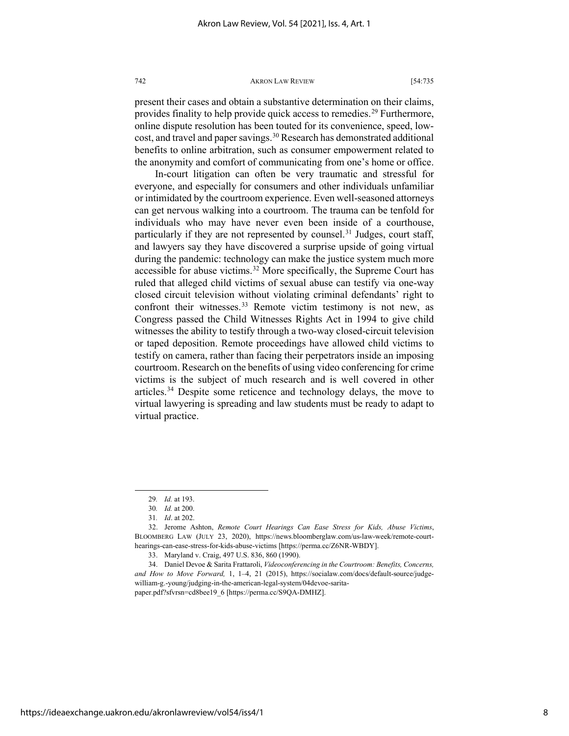present their cases and obtain a substantive determination on their claims, provides finality to help provide quick access to remedies.<sup>29</sup> Furthermore, online dispute resolution has been touted for its convenience, speed, lowcost, and travel and paper savings.<sup>30</sup> Research has demonstrated additional benefits to online arbitration, such as consumer empowerment related to the anonymity and comfort of communicating from one's home or office.

In-court litigation can often be very traumatic and stressful for everyone, and especially for consumers and other individuals unfamiliar or intimidated by the courtroom experience. Even well-seasoned attorneys can get nervous walking into a courtroom. The trauma can be tenfold for individuals who may have never even been inside of a courthouse, particularly if they are not represented by counsel.<sup>[31](#page-8-2)</sup> Judges, court staff, and lawyers say they have discovered a surprise upside of going virtual during the pandemic: technology can make the justice system much more accessible for abuse victims.<sup>[32](#page-8-3)</sup> More specifically, the Supreme Court has ruled that alleged child victims of sexual abuse can testify via one-way closed circuit television without violating criminal defendants' right to confront their witnesses.<sup>[33](#page-8-4)</sup> Remote victim testimony is not new, as Congress passed the Child Witnesses Rights Act in 1994 to give child witnesses the ability to testify through a two-way closed-circuit television or taped deposition. Remote proceedings have allowed child victims to testify on camera, rather than facing their perpetrators inside an imposing courtroom. Research on the benefits of using video conferencing for crime victims is the subject of much research and is well covered in other articles.[34](#page-8-5) Despite some reticence and technology delays, the move to virtual lawyering is spreading and law students must be ready to adapt to virtual practice.

https://ideaexchange.uakron.edu/akronlawreview/vol54/iss4/1

<sup>29</sup>*. Id.* at 193.

<sup>30</sup>*. Id.* at 200.

<sup>31</sup>*. Id*. at 202.

<span id="page-8-3"></span><span id="page-8-2"></span><span id="page-8-1"></span><span id="page-8-0"></span><sup>32.</sup> Jerome Ashton, *Remote Court Hearings Can Ease Stress for Kids, Abuse Victims*, BLOOMBERG LAW (JULY 23, 2020), https://news.bloomberglaw.com/us-law-week/remote-courthearings-can-ease-stress-for-kids-abuse-victims [https://perma.cc/Z6NR-WBDY].

<sup>33.</sup> Maryland v. Craig, 497 U.S. 836, 860 (1990).

<span id="page-8-5"></span><span id="page-8-4"></span><sup>34.</sup> Daniel Devoe & Sarita Frattaroli, *Videoconferencing in the Courtroom: Benefits, Concerns, and How to Move Forward,* 1, 1–4, 21 (2015), https://socialaw.com/docs/default-source/judgewilliam-g.-young/judging-in-the-american-legal-system/04devoe-saritapaper.pdf?sfvrsn=cd8bee19\_6 [https://perma.cc/S9QA-DMHZ].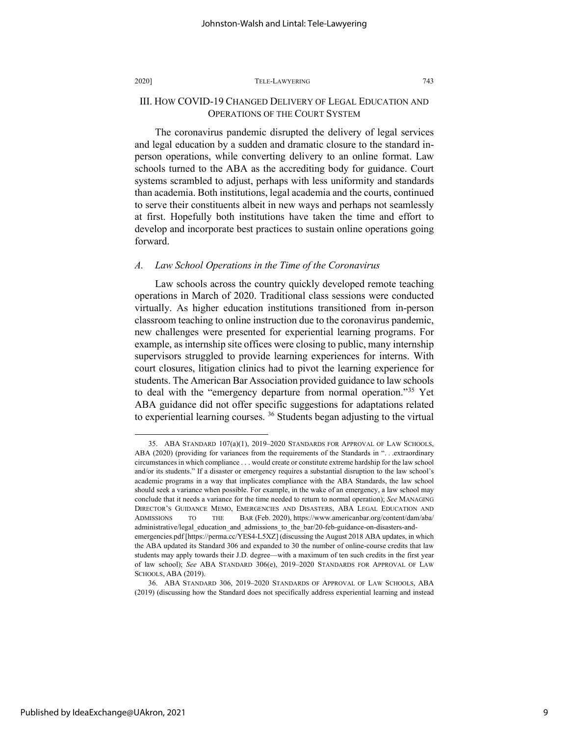#### III. HOW COVID-19 CHANGED DELIVERY OF LEGAL EDUCATION AND OPERATIONS OF THE COURT SYSTEM

The coronavirus pandemic disrupted the delivery of legal services and legal education by a sudden and dramatic closure to the standard inperson operations, while converting delivery to an online format. Law schools turned to the ABA as the accrediting body for guidance. Court systems scrambled to adjust, perhaps with less uniformity and standards than academia. Both institutions, legal academia and the courts, continued to serve their constituents albeit in new ways and perhaps not seamlessly at first. Hopefully both institutions have taken the time and effort to develop and incorporate best practices to sustain online operations going forward.

#### *A. Law School Operations in the Time of the Coronavirus*

Law schools across the country quickly developed remote teaching operations in March of 2020. Traditional class sessions were conducted virtually. As higher education institutions transitioned from in-person classroom teaching to online instruction due to the coronavirus pandemic, new challenges were presented for experiential learning programs. For example, as internship site offices were closing to public, many internship supervisors struggled to provide learning experiences for interns. With court closures, litigation clinics had to pivot the learning experience for students. The American Bar Association provided guidance to law schools to deal with the "emergency departure from normal operation."[35](#page-9-0) Yet ABA guidance did not offer specific suggestions for adaptations related to experiential learning courses. <sup>36</sup> Students began adjusting to the virtual

<span id="page-9-0"></span><sup>35.</sup> ABA STANDARD 107(a)(1), 2019–2020 STANDARDS FOR APPROVAL OF LAW SCHOOLS, ABA (2020) (providing for variances from the requirements of the Standards in "...extraordinary circumstances in which compliance . . . would create or constitute extreme hardship for the law school and/or its students." If a disaster or emergency requires a substantial disruption to the law school's academic programs in a way that implicates compliance with the ABA Standards, the law school should seek a variance when possible. For example, in the wake of an emergency, a law school may conclude that it needs a variance for the time needed to return to normal operation); *See* MANAGING DIRECTOR'S GUIDANCE MEMO, EMERGENCIES AND DISASTERS, ABA LEGAL EDUCATION AND ADMISSIONS TO THE BAR (Feb. 2020), https://www.americanbar.org/content/dam/aba/ administrative/legal\_education\_and\_admissions\_to\_the\_bar/20-feb-guidance-on-disasters-andemergencies.pdf [https://perma.cc/YES4-L5XZ] (discussing the August 2018 ABA updates, in which the ABA updated its Standard 306 and expanded to 30 the number of online-course credits that law students may apply towards their J.D. degree—with a maximum of ten such credits in the first year of law school); *See* ABA STANDARD 306(e), 2019–2020 STANDARDS FOR APPROVAL OF LAW SCHOOLS, ABA (2019).

<span id="page-9-1"></span><sup>36.</sup> ABA STANDARD 306, 2019–2020 STANDARDS OF APPROVAL OF LAW SCHOOLS, ABA (2019) (discussing how the Standard does not specifically address experiential learning and instead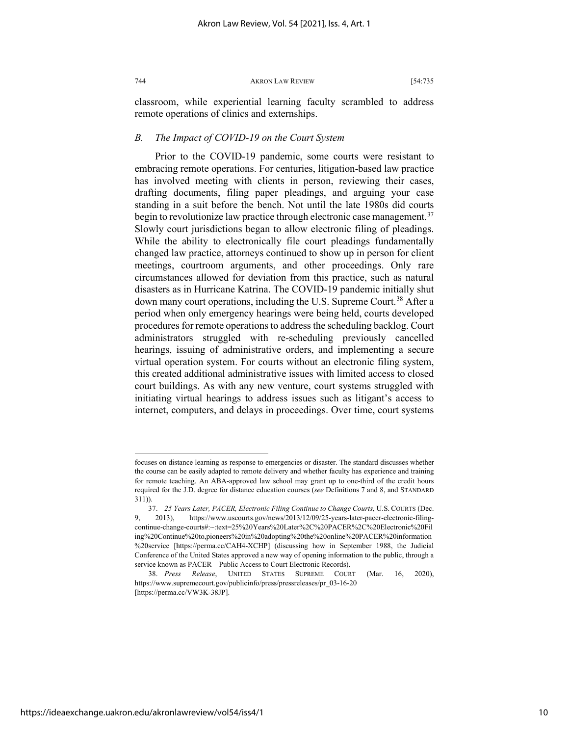classroom, while experiential learning faculty scrambled to address remote operations of clinics and externships.

#### *B. The Impact of COVID-19 on the Court System*

Prior to the COVID-19 pandemic, some courts were resistant to embracing remote operations. For centuries, litigation-based law practice has involved meeting with clients in person, reviewing their cases, drafting documents, filing paper pleadings, and arguing your case standing in a suit before the bench. Not until the late 1980s did courts begin to revolutionize law practice through electronic case management.<sup>[37](#page-10-0)</sup> Slowly court jurisdictions began to allow electronic filing of pleadings. While the ability to electronically file court pleadings fundamentally changed law practice, attorneys continued to show up in person for client meetings, courtroom arguments, and other proceedings. Only rare circumstances allowed for deviation from this practice, such as natural disasters as in Hurricane Katrina. The COVID-19 pandemic initially shut down many court operations, including the U.S. Supreme Court.<sup>[38](#page-10-1)</sup> After a period when only emergency hearings were being held, courts developed procedures for remote operations to address the scheduling backlog. Court administrators struggled with re-scheduling previously cancelled hearings, issuing of administrative orders, and implementing a secure virtual operation system. For courts without an electronic filing system, this created additional administrative issues with limited access to closed court buildings. As with any new venture, court systems struggled with initiating virtual hearings to address issues such as litigant's access to internet, computers, and delays in proceedings. Over time, court systems

focuses on distance learning as response to emergencies or disaster. The standard discusses whether the course can be easily adapted to remote delivery and whether faculty has experience and training for remote teaching. An ABA-approved law school may grant up to one-third of the credit hours required for the J.D. degree for distance education courses (*see* Definitions 7 and 8, and STANDARD 311)).

<span id="page-10-0"></span><sup>37.</sup> *25 Years Later, PACER, Electronic Filing Continue to Change Courts*, U.S. COURTS (Dec. 9, 2013), https://www.uscourts.gov/news/2013/12/09/25-years-later-pacer-electronic-filingcontinue-change-courts#:~:text=25%20Years%20Later%2C%20PACER%2C%20Electronic%20Fil ing%20Continue%20to,pioneers%20in%20adopting%20the%20online%20PACER%20information %20service [https://perma.cc/CAH4-XCHP] (discussing how in September 1988, the Judicial Conference of the United States approved a new way of opening information to the public, through a service known as PACER—Public Access to Court Electronic Records).

<span id="page-10-1"></span><sup>38.</sup> *Press Release*, UNITED STATES SUPREME COURT (Mar. 16, 2020), https://www.supremecourt.gov/publicinfo/press/pressreleases/pr\_03-16-20 [https://perma.cc/VW3K-38JP].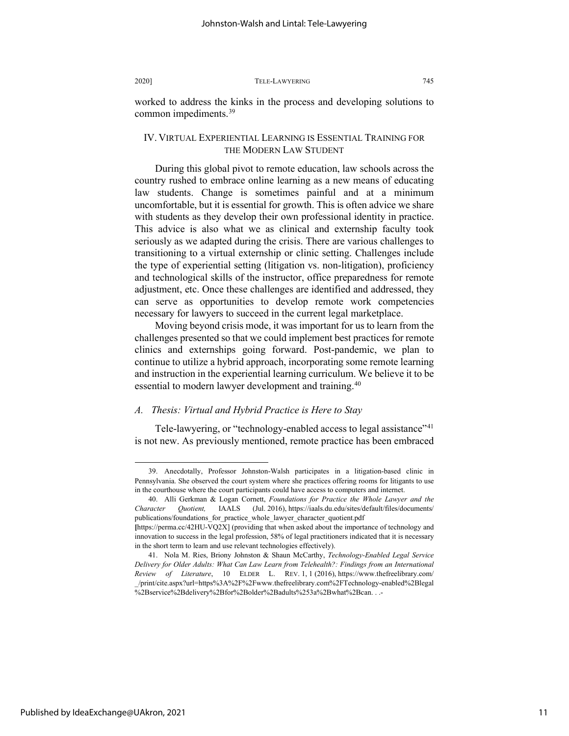worked to address the kinks in the process and developing solutions to common impediments.[39](#page-11-0)

#### IV. VIRTUAL EXPERIENTIAL LEARNING IS ESSENTIAL TRAINING FOR THE MODERN LAW STUDENT

During this global pivot to remote education, law schools across the country rushed to embrace online learning as a new means of educating law students. Change is sometimes painful and at a minimum uncomfortable, but it is essential for growth. This is often advice we share with students as they develop their own professional identity in practice. This advice is also what we as clinical and externship faculty took seriously as we adapted during the crisis. There are various challenges to transitioning to a virtual externship or clinic setting. Challenges include the type of experiential setting (litigation vs. non-litigation), proficiency and technological skills of the instructor, office preparedness for remote adjustment, etc. Once these challenges are identified and addressed, they can serve as opportunities to develop remote work competencies necessary for lawyers to succeed in the current legal marketplace.

Moving beyond crisis mode, it was important for us to learn from the challenges presented so that we could implement best practices for remote clinics and externships going forward. Post-pandemic, we plan to continue to utilize a hybrid approach, incorporating some remote learning and instruction in the experiential learning curriculum. We believe it to be essential to modern lawyer development and training.<sup>[40](#page-11-1)</sup>

#### *A. Thesis: Virtual and Hybrid Practice is Here to Stay*

Tele-lawyering, or "technology-enabled access to legal assistance"<sup>[41](#page-11-2)</sup> is not new. As previously mentioned, remote practice has been embraced

<span id="page-11-0"></span><sup>39.</sup> Anecdotally, Professor Johnston-Walsh participates in a litigation-based clinic in Pennsylvania. She observed the court system where she practices offering rooms for litigants to use in the courthouse where the court participants could have access to computers and internet.

<span id="page-11-1"></span><sup>40.</sup> Alli Gerkman & Logan Cornett, *Foundations for Practice the Whole Lawyer and the Character Quotient,* IAALS (Jul. 2016), https://iaals.du.edu/sites/default/files/documents/ publications/foundations\_for\_practice\_whole\_lawyer\_character\_quotient.pdf

**<sup>[</sup>**https://perma.cc/42HU-VQ2X] (providing that when asked about the importance of technology and innovation to success in the legal profession, 58% of legal practitioners indicated that it is necessary in the short term to learn and use relevant technologies effectively).

<span id="page-11-2"></span><sup>41.</sup> Nola M. Ries, Briony Johnston & Shaun McCarthy, *Technology-Enabled Legal Service Delivery for Older Adults: What Can Law Learn from Telehealth?: Findings from an International Review of Literature*, 10 ELDER L. REV. 1, 1 (2016), https://www.thefreelibrary.com/ \_/print/cite.aspx?url=https%3A%2F%2Fwww.thefreelibrary.com%2FTechnology-enabled%2Blegal %2Bservice%2Bdelivery%2Bfor%2Bolder%2Badults%253a%2Bwhat%2Bcan. . .-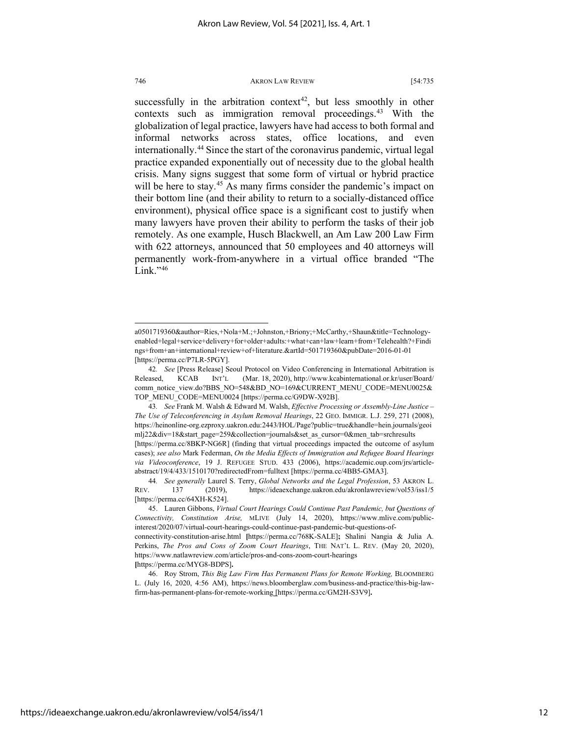successfully in the arbitration context<sup>42</sup>, but less smoothly in other contexts such as immigration removal proceedings.<sup>43</sup> With the globalization of legal practice, lawyers have had access to both formal and informal networks across states, office locations, and even internationally[.44](#page-12-2) Since the start of the coronavirus pandemic, virtual legal practice expanded exponentially out of necessity due to the global health crisis. Many signs suggest that some form of virtual or hybrid practice will be here to stay.<sup>[45](#page-12-3)</sup> As many firms consider the pandemic's impact on their bottom line (and their ability to return to a socially-distanced office environment), physical office space is a significant cost to justify when many lawyers have proven their ability to perform the tasks of their job remotely. As one example, Husch Blackwell, an Am Law 200 Law Firm with 622 attorneys, announced that 50 employees and 40 attorneys will permanently work-from-anywhere in a virtual office branded "The Link." $46$ 

a0501719360&author=Ries,+Nola+M.;+Johnston,+Briony;+McCarthy,+Shaun&title=Technologyenabled+legal+service+delivery+for+older+adults:+what+can+law+learn+from+Telehealth?+Findi ngs+from+an+international+review+of+literature.&artId=501719360&pubDate=2016-01-01 [https://perma.cc/P7LR-5PGY].

<span id="page-12-0"></span><sup>42</sup>*. See* [Press Release] Seoul Protocol on Video Conferencing in International Arbitration is Released, KCAB INT'L (Mar. 18, 2020), http://www.kcabinternational.or.kr/user/Board/ comm\_notice\_view.do?BBS\_NO=548&BD\_NO=169&CURRENT\_MENU\_CODE=MENU0025& TOP\_MENU\_CODE=MENU0024 [https://perma.cc/G9DW-X92B].

<span id="page-12-1"></span><sup>43</sup>*. See* Frank M. Walsh & Edward M. Walsh, *Effective Processing or Assembly-Line Justice – The Use of Teleconferencing in Asylum Removal Hearings*, 22 GEO. IMMIGR. L.J. 259, 271 (2008), https://heinonline-org.ezproxy.uakron.edu:2443/HOL/Page?public=true&handle=hein.journals/geoi mlj22&div=18&start\_page=259&collection=journals&set\_as\_cursor=0&men\_tab=srchresults [https://perma.cc/8BKP-NG6R] (finding that virtual proceedings impacted the outcome of asylum cases); *see also* Mark Federman, *On the Media Effects of Immigration and Refugee Board Hearings via Videoconference*, 19 J. REFUGEE STUD. 433 (2006), https://academic.oup.com/jrs/articleabstract/19/4/433/1510170?redirectedFrom=fulltext [https://perma.cc/4BB5-GMA3].

<span id="page-12-2"></span><sup>44</sup>*. See generally* Laurel S. Terry, *Global Networks and the Legal Profession*, 53 AKRON L. REV. 137 (2019), <https://ideaexchange.uakron.edu/akronlawreview/vol53/iss1/5> [https://perma.cc/64XH-K524].

<span id="page-12-3"></span><sup>45.</sup> Lauren Gibbons, *Virtual Court Hearings Could Continue Past Pandemic, but Questions of Connectivity, Constitution Arise,* MLIVE (July 14, 2020), https://www.mlive.com/publicinterest/2020/07/virtual-court-hearings-could-continue-past-pandemic-but-questions-of-

connectivity-constitution-arise.html **[**https://perma.cc/768K-SALE]**;** Shalini Nangia & Julia A. Perkins, *The Pros and Cons of Zoom Court Hearings*, THE NAT'L L. REV. (May 20, 2020), https://www.natlawreview.com/article/pros-and-cons-zoom-court-hearings **[**https://perma.cc/MYG8-BDPS]**.**

<span id="page-12-4"></span><sup>46.</sup> Roy Strom, *This Big Law Firm Has Permanent Plans for Remote Working,* BLOOMBERG L. (July 16, 2020, 4:56 AM), https://news.bloomberglaw.com/business-and-practice/this-big-lawfirm-has-permanent-plans-for-remote-working [https://perma.cc/GM2H-S3V9]**.**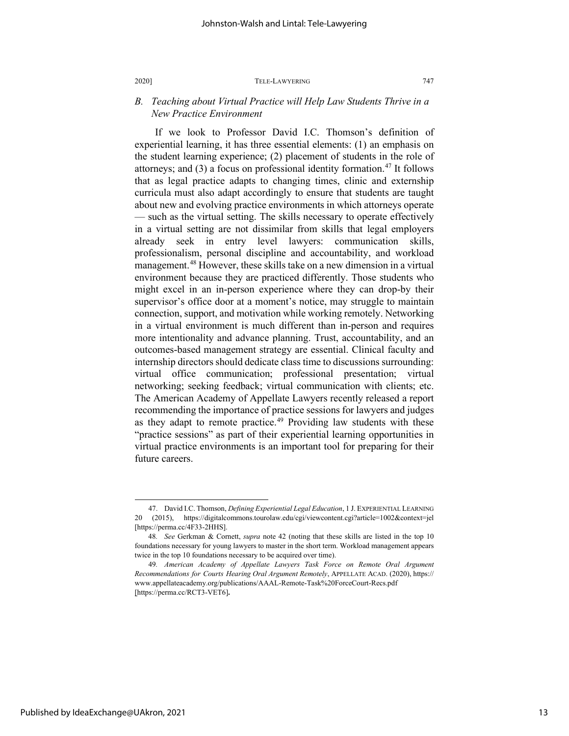#### *B. Teaching about Virtual Practice will Help Law Students Thrive in a New Practice Environment*

If we look to Professor David I.C. Thomson's definition of experiential learning, it has three essential elements: (1) an emphasis on the student learning experience; (2) placement of students in the role of attorneys; and  $(3)$  a focus on professional identity formation.<sup>47</sup> It follows that as legal practice adapts to changing times, clinic and externship curricula must also adapt accordingly to ensure that students are taught about new and evolving practice environments in which attorneys operate — such as the virtual setting. The skills necessary to operate effectively in a virtual setting are not dissimilar from skills that legal employers already seek in entry level lawyers: communication skills, professionalism, personal discipline and accountability, and workload management.<sup>48</sup> However, these skills take on a new dimension in a virtual environment because they are practiced differently. Those students who might excel in an in-person experience where they can drop-by their supervisor's office door at a moment's notice, may struggle to maintain connection, support, and motivation while working remotely. Networking in a virtual environment is much different than in-person and requires more intentionality and advance planning. Trust, accountability, and an outcomes-based management strategy are essential. Clinical faculty and internship directors should dedicate class time to discussions surrounding: virtual office communication; professional presentation; virtual networking; seeking feedback; virtual communication with clients; etc. The American Academy of Appellate Lawyers recently released a report recommending the importance of practice sessions for lawyers and judges as they adapt to remote practice.<sup>[49](#page-13-2)</sup> Providing law students with these "practice sessions" as part of their experiential learning opportunities in virtual practice environments is an important tool for preparing for their future careers.

<span id="page-13-0"></span><sup>47.</sup> David I.C. Thomson, *Defining Experiential Legal Education*, 1 J. EXPERIENTIAL LEARNING 20 (2015), https://digitalcommons.tourolaw.edu/cgi/viewcontent.cgi?article=1002&context=jel [https://perma.cc/4F33-2HHS].

<span id="page-13-1"></span><sup>48</sup>*. See* Gerkman & Cornett, *supra* note 42 (noting that these skills are listed in the top 10 foundations necessary for young lawyers to master in the short term. Workload management appears twice in the top 10 foundations necessary to be acquired over time).

<span id="page-13-2"></span><sup>49</sup>*. American Academy of Appellate Lawyers Task Force on Remote Oral Argument Recommendations for Courts Hearing Oral Argument Remotely*, APPELLATE ACAD. (2020), https:// www.appellateacademy.org/publications/AAAL-Remote-Task%20ForceCourt-Recs.pdf [https://perma.cc/RCT3-VET6]**.**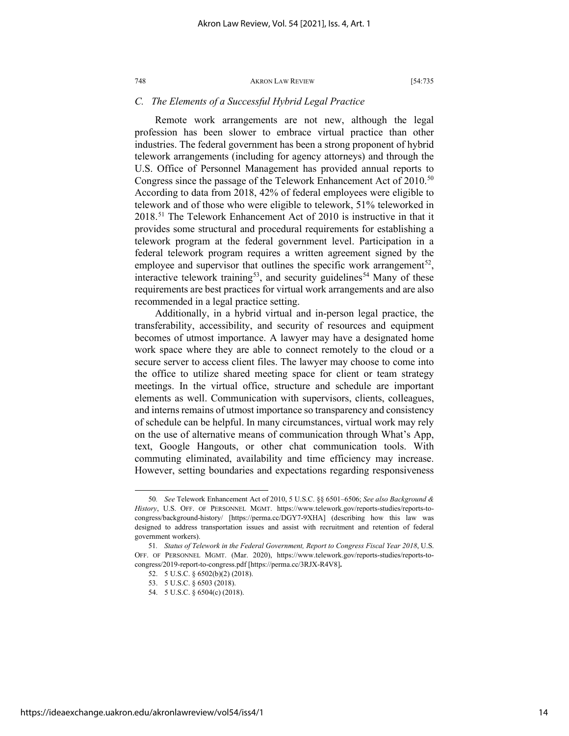#### *C. The Elements of a Successful Hybrid Legal Practice*

Remote work arrangements are not new, although the legal profession has been slower to embrace virtual practice than other industries. The federal government has been a strong proponent of hybrid telework arrangements (including for agency attorneys) and through the U.S. Office of Personnel Management has provided annual reports to Congress since the passage of the Telework Enhancement Act of  $2010^{50}$  $2010^{50}$  $2010^{50}$ According to data from 2018, 42% of federal employees were eligible to telework and of those who were eligible to telework, 51% teleworked in 2018.[51](#page-14-1) The Telework Enhancement Act of 2010 is instructive in that it provides some structural and procedural requirements for establishing a telework program at the federal government level. Participation in a federal telework program requires a written agreement signed by the employee and supervisor that outlines the specific work arrangement<sup>[52](#page-14-2)</sup>, interactive telework training<sup>[53](#page-14-3)</sup>, and security guidelines<sup>[54](#page-14-4)</sup> Many of these requirements are best practices for virtual work arrangements and are also recommended in a legal practice setting.

Additionally, in a hybrid virtual and in-person legal practice, the transferability, accessibility, and security of resources and equipment becomes of utmost importance. A lawyer may have a designated home work space where they are able to connect remotely to the cloud or a secure server to access client files. The lawyer may choose to come into the office to utilize shared meeting space for client or team strategy meetings. In the virtual office, structure and schedule are important elements as well. Communication with supervisors, clients, colleagues, and interns remains of utmost importance so transparency and consistency of schedule can be helpful. In many circumstances, virtual work may rely on the use of alternative means of communication through What's App, text, Google Hangouts, or other chat communication tools. With commuting eliminated, availability and time efficiency may increase. However, setting boundaries and expectations regarding responsiveness

<span id="page-14-0"></span><sup>50</sup>*. See* Telework Enhancement Act of 2010, 5 U.S.C. §§ 6501–6506; *See also Background & History*, U.S. OFF. OF PERSONNEL MGMT. https://www.telework.gov/reports-studies/reports-tocongress/background-history/ [https://perma.cc/DGY7-9XHA] (describing how this law was designed to address transportation issues and assist with recruitment and retention of federal government workers).

<span id="page-14-4"></span><span id="page-14-3"></span><span id="page-14-2"></span><span id="page-14-1"></span><sup>51</sup>*. Status of Telework in the Federal Government, Report to Congress Fiscal Year 2018*, U.S. OFF. OF PERSONNEL MGMT. (Mar. 2020), https://www.telework.gov/reports-studies/reports-tocongress/2019-report-to-congress.pdf [https://perma.cc/3RJX-R4V8]**.**

<sup>52.</sup> 5 U.S.C. § 6502(b)(2) (2018).

<sup>53.</sup> 5 U.S.C. § 6503 (2018).

<sup>54.</sup> 5 U.S.C. § 6504(c) (2018).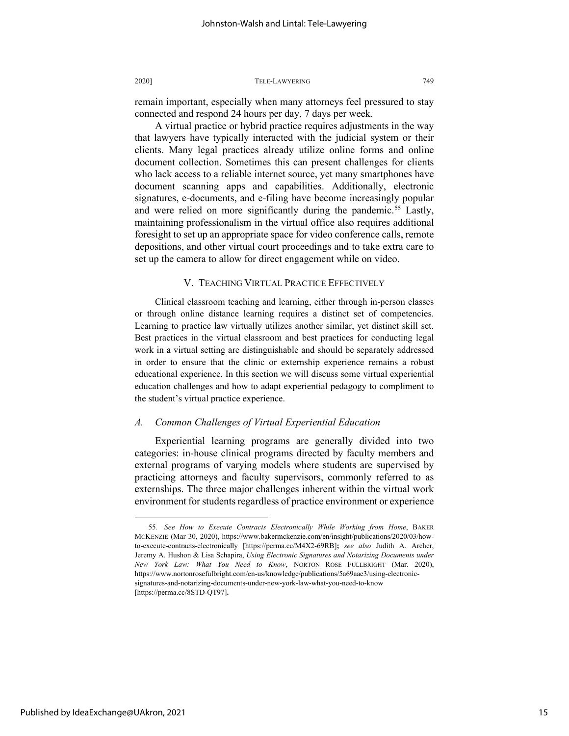remain important, especially when many attorneys feel pressured to stay connected and respond 24 hours per day, 7 days per week.

A virtual practice or hybrid practice requires adjustments in the way that lawyers have typically interacted with the judicial system or their clients. Many legal practices already utilize online forms and online document collection. Sometimes this can present challenges for clients who lack access to a reliable internet source, yet many smartphones have document scanning apps and capabilities. Additionally, electronic signatures, e-documents, and e-filing have become increasingly popular and were relied on more significantly during the pandemic.<sup>[55](#page-15-0)</sup> Lastly, maintaining professionalism in the virtual office also requires additional foresight to set up an appropriate space for video conference calls, remote depositions, and other virtual court proceedings and to take extra care to set up the camera to allow for direct engagement while on video.

#### V. TEACHING VIRTUAL PRACTICE EFFECTIVELY

Clinical classroom teaching and learning, either through in-person classes or through online distance learning requires a distinct set of competencies. Learning to practice law virtually utilizes another similar, yet distinct skill set. Best practices in the virtual classroom and best practices for conducting legal work in a virtual setting are distinguishable and should be separately addressed in order to ensure that the clinic or externship experience remains a robust educational experience. In this section we will discuss some virtual experiential education challenges and how to adapt experiential pedagogy to compliment to the student's virtual practice experience.

#### *A. Common Challenges of Virtual Experiential Education*

Experiential learning programs are generally divided into two categories: in-house clinical programs directed by faculty members and external programs of varying models where students are supervised by practicing attorneys and faculty supervisors, commonly referred to as externships. The three major challenges inherent within the virtual work environment for students regardless of practice environment or experience

<span id="page-15-0"></span><sup>55</sup>*. See How to Execute Contracts Electronically While Working from Home*, BAKER MCKENZIE (Mar 30, 2020), https://www.bakermckenzie.com/en/insight/publications/2020/03/howto-execute-contracts-electronically [https://perma.cc/M4X2-69RB]**;** *see also* Judith A. Archer, Jeremy A. Hushon & Lisa Schapira, *Using Electronic Signatures and Notarizing Documents under New York Law: What You Need to Know*, NORTON ROSE FULLBRIGHT (Mar. 2020), https://www.nortonrosefulbright.com/en-us/knowledge/publications/5a69aae3/using-electronicsignatures-and-notarizing-documents-under-new-york-law-what-you-need-to-know [https://perma.cc/8STD-QT97]**.**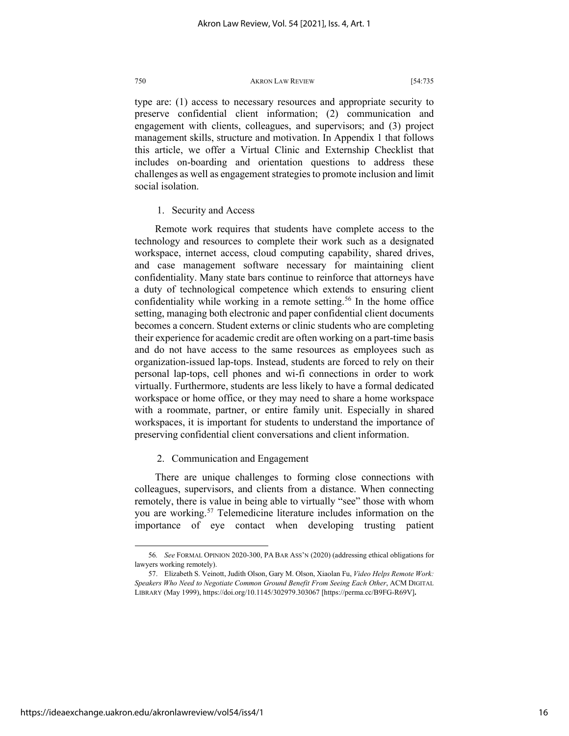type are: (1) access to necessary resources and appropriate security to preserve confidential client information; (2) communication and engagement with clients, colleagues, and supervisors; and (3) project management skills, structure and motivation. In Appendix 1 that follows this article, we offer a Virtual Clinic and Externship Checklist that includes on-boarding and orientation questions to address these challenges as well as engagement strategies to promote inclusion and limit social isolation.

1. Security and Access

Remote work requires that students have complete access to the technology and resources to complete their work such as a designated workspace, internet access, cloud computing capability, shared drives, and case management software necessary for maintaining client confidentiality. Many state bars continue to reinforce that attorneys have a duty of technological competence which extends to ensuring client confidentiality while working in a remote setting.<sup>[56](#page-16-0)</sup> In the home office setting, managing both electronic and paper confidential client documents becomes a concern. Student externs or clinic students who are completing their experience for academic credit are often working on a part-time basis and do not have access to the same resources as employees such as organization-issued lap-tops. Instead, students are forced to rely on their personal lap-tops, cell phones and wi-fi connections in order to work virtually. Furthermore, students are less likely to have a formal dedicated workspace or home office, or they may need to share a home workspace with a roommate, partner, or entire family unit. Especially in shared workspaces, it is important for students to understand the importance of preserving confidential client conversations and client information.

2. Communication and Engagement

There are unique challenges to forming close connections with colleagues, supervisors, and clients from a distance. When connecting remotely, there is value in being able to virtually "see" those with whom you are working.<sup>[57](#page-16-1)</sup> Telemedicine literature includes information on the importance of eye contact when developing trusting patient

<span id="page-16-0"></span><sup>56</sup>*. See* FORMAL OPINION 2020-300, PA BAR ASS'N (2020) (addressing ethical obligations for lawyers working remotely).

<span id="page-16-1"></span><sup>57.</sup> Elizabeth S. Veinott, Judith Olson, Gary M. Olson, Xiaolan Fu, *Video Helps Remote Work: Speakers Who Need to Negotiate Common Ground Benefit From Seeing Each Other*, ACM DIGITAL LIBRARY (May 1999), https://doi.org/10.1145/302979.303067 [https://perma.cc/B9FG-R69V]**.**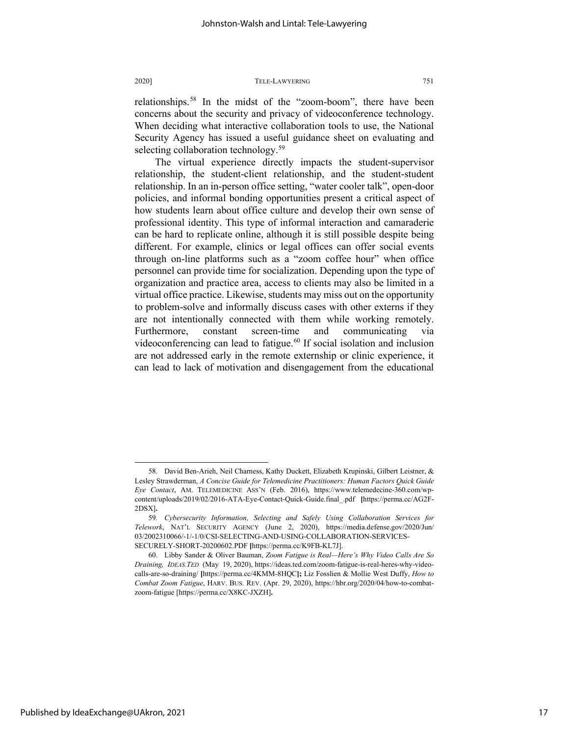relationships[.58](#page-17-0) In the midst of the "zoom-boom", there have been concerns about the security and privacy of videoconference technology. When deciding what interactive collaboration tools to use, the National Security Agency has issued a useful guidance sheet on evaluating and selecting collaboration technology.<sup>[59](#page-17-1)</sup>

The virtual experience directly impacts the student-supervisor relationship, the student-client relationship, and the student-student relationship. In an in-person office setting, "water cooler talk", open-door policies, and informal bonding opportunities present a critical aspect of how students learn about office culture and develop their own sense of professional identity. This type of informal interaction and camaraderie can be hard to replicate online, although it is still possible despite being different. For example, clinics or legal offices can offer social events through on-line platforms such as a "zoom coffee hour" when office personnel can provide time for socialization. Depending upon the type of organization and practice area, access to clients may also be limited in a virtual office practice. Likewise, students may miss out on the opportunity to problem-solve and informally discuss cases with other externs if they are not intentionally connected with them while working remotely. Furthermore, constant screen-time and communicating via videoconferencing can lead to fatigue.<sup>[60](#page-17-2)</sup> If social isolation and inclusion are not addressed early in the remote externship or clinic experience, it can lead to lack of motivation and disengagement from the educational

<span id="page-17-0"></span><sup>58.</sup> David Ben-Arieh, Neil Charness, Kathy Duckett, Elizabeth Krupinski, Gilbert Leistner, & Lesley Strawderman, *A Concise Guide for Telemedicine Practitioners: Human Factors Quick Guide Eye Contact*, AM. TELEMEDICINE ASS'N (Feb. 2016), https://www.telemedecine-360.com/wpcontent/uploads/2019/02/2016-ATA-Eye-Contact-Quick-Guide.final\_.pdf **[**https://perma.cc/AG2F-2DSX]**.**

<span id="page-17-1"></span><sup>59</sup>*. Cybersecurity Information, Selecting and Safely Using Collaboration Services for Telework*, NAT'L SECURITY AGENCY (June 2, 2020), https://media.defense.gov/2020/Jun/ 03/2002310066/-1/-1/0/CSI-SELECTING-AND-USING-COLLABORATION-SERVICES-SECURELY-SHORT-20200602.PDF **[**https://perma.cc/K9FB-KL7J].

<span id="page-17-2"></span><sup>60.</sup> Libby Sander & Oliver Bauman, *Zoom Fatigue is Real—Here's Why Video Calls Are So Draining, IDEAS.TED* (May 19, 2020), https://ideas.ted.com/zoom-fatigue-is-real-heres-why-videocalls-are-so-draining/ **[**https://perma.cc/4KMM-8HQC**];** Liz Fosslien & Mollie West Duffy, *How to Combat Zoom Fatigue*, HARV. BUS. REV. (Apr. 29, 2020), https://hbr.org/2020/04/how-to-combatzoom-fatigue [https://perma.cc/X8KC-JXZH]**.**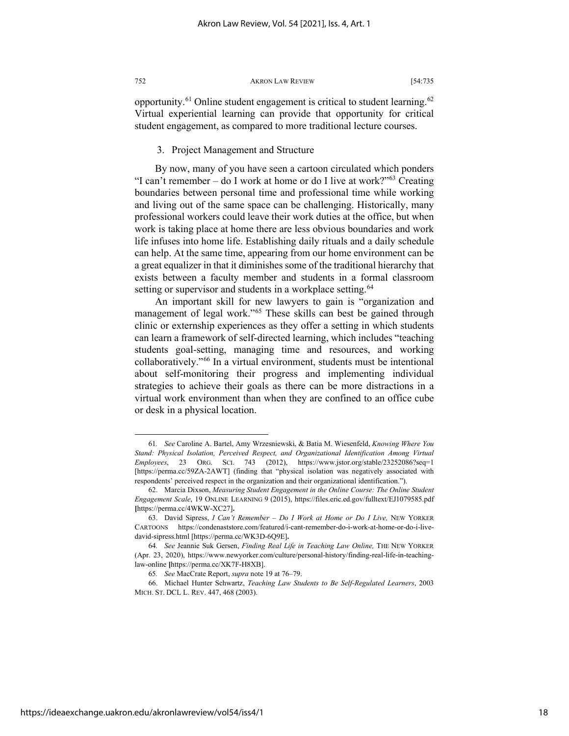opportunity.<sup>[61](#page-18-0)</sup> Online student engagement is critical to student learning.<sup>[62](#page-18-1)</sup> Virtual experiential learning can provide that opportunity for critical student engagement, as compared to more traditional lecture courses.

#### 3. Project Management and Structure

By now, many of you have seen a cartoon circulated which ponders "I can't remember – do I work at home or do I live at work?" $63$  Creating boundaries between personal time and professional time while working and living out of the same space can be challenging. Historically, many professional workers could leave their work duties at the office, but when work is taking place at home there are less obvious boundaries and work life infuses into home life. Establishing daily rituals and a daily schedule can help. At the same time, appearing from our home environment can be a great equalizer in that it diminishes some of the traditional hierarchy that exists between a faculty member and students in a formal classroom setting or supervisor and students in a workplace setting.<sup>[64](#page-18-3)</sup>

An important skill for new lawyers to gain is "organization and management of legal work."<sup>[65](#page-18-4)</sup> These skills can best be gained through clinic or externship experiences as they offer a setting in which students can learn a framework of self-directed learning, which includes "teaching students goal-setting, managing time and resources, and working collaboratively."[66](#page-18-5) In a virtual environment, students must be intentional about self-monitoring their progress and implementing individual strategies to achieve their goals as there can be more distractions in a virtual work environment than when they are confined to an office cube or desk in a physical location.

<span id="page-18-0"></span><sup>61</sup>*. See* Caroline A. Bartel, Amy Wrzesniewski, & Batia M. Wiesenfeld, *Knowing Where You Stand: Physical Isolation, Perceived Respect, and Organizational Identification Among Virtual Employees*, 23 ORG. SCI. 743 (2012), https://www.jstor.org/stable/23252086?seq=1 [https://perma.cc/59ZA-2AWT] (finding that "physical isolation was negatively associated with respondents' perceived respect in the organization and their organizational identification.").

<span id="page-18-1"></span><sup>62.</sup> Marcia Dixson, *Measuring Student Engagement in the Online Course: The Online Student Engagement Scale*, 19 ONLINE LEARNING 9 (2015), https://files.eric.ed.gov/fulltext/EJ1079585.pdf **[**https://perma.cc/4WKW-XC27]**.**

<span id="page-18-2"></span><sup>63.</sup> David Sipress, *I Can't Remember – Do I Work at Home or Do I Live,* NEW YORKER CARTOONS https://condenaststore.com/featured/i-cant-remember-do-i-work-at-home-or-do-i-livedavid-sipress.html [https://perma.cc/WK3D-6Q9E]**.**

<span id="page-18-3"></span><sup>64</sup>*. See* Jeannie Suk Gersen, *Finding Real Life in Teaching Law Online,* THE NEW YORKER (Apr. 23, 2020), https://www.newyorker.com/culture/personal-history/finding-real-life-in-teachinglaw-online **[**https://perma.cc/XK7F-H8XB].

<sup>65</sup>*. See* MacCrate Report, *supra* note 19 at 76–79.

<span id="page-18-5"></span><span id="page-18-4"></span><sup>66.</sup> Michael Hunter Schwartz, *Teaching Law Students to Be Self-Regulated Learners*, 2003 MICH. ST. DCL L. REV. 447, 468 (2003).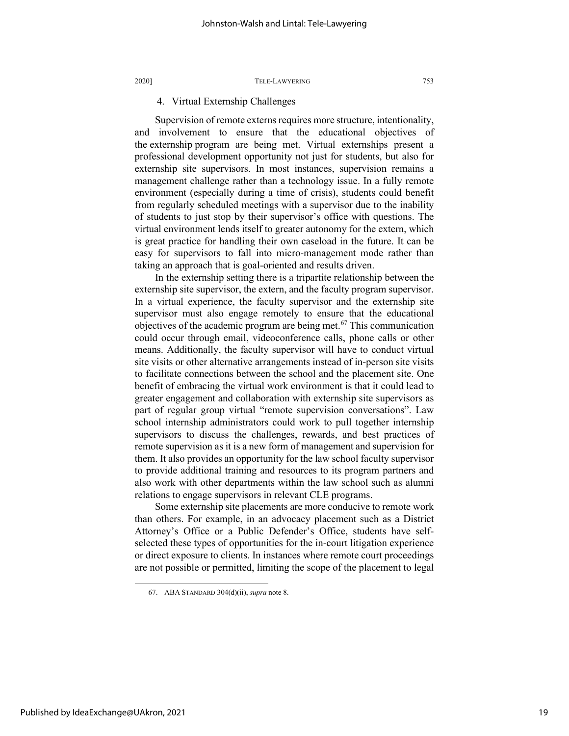#### 4. Virtual Externship Challenges

Supervision of remote externs requires more structure, intentionality, and involvement to ensure that the educational objectives of the externship program are being met. Virtual externships present a professional development opportunity not just for students, but also for externship site supervisors. In most instances, supervision remains a management challenge rather than a technology issue. In a fully remote environment (especially during a time of crisis), students could benefit from regularly scheduled meetings with a supervisor due to the inability of students to just stop by their supervisor's office with questions. The virtual environment lends itself to greater autonomy for the extern, which is great practice for handling their own caseload in the future. It can be easy for supervisors to fall into micro-management mode rather than taking an approach that is goal-oriented and results driven.

In the externship setting there is a tripartite relationship between the externship site supervisor, the extern, and the faculty program supervisor. In a virtual experience, the faculty supervisor and the externship site supervisor must also engage remotely to ensure that the educational objectives of the academic program are being met.<sup>[67](#page-19-0)</sup> This communication could occur through email, videoconference calls, phone calls or other means. Additionally, the faculty supervisor will have to conduct virtual site visits or other alternative arrangements instead of in-person site visits to facilitate connections between the school and the placement site. One benefit of embracing the virtual work environment is that it could lead to greater engagement and collaboration with externship site supervisors as part of regular group virtual "remote supervision conversations". Law school internship administrators could work to pull together internship supervisors to discuss the challenges, rewards, and best practices of remote supervision as it is a new form of management and supervision for them. It also provides an opportunity for the law school faculty supervisor to provide additional training and resources to its program partners and also work with other departments within the law school such as alumni relations to engage supervisors in relevant CLE programs.

Some externship site placements are more conducive to remote work than others. For example, in an advocacy placement such as a District Attorney's Office or a Public Defender's Office, students have selfselected these types of opportunities for the in-court litigation experience or direct exposure to clients. In instances where remote court proceedings are not possible or permitted, limiting the scope of the placement to legal

<span id="page-19-0"></span><sup>67.</sup> ABA STANDARD 304(d)(ii), *supra* note [8.](#page-4-4)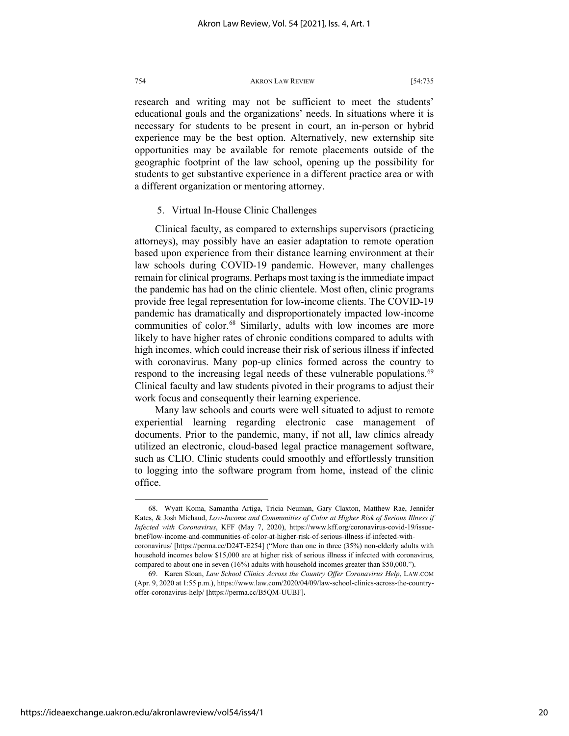research and writing may not be sufficient to meet the students' educational goals and the organizations' needs. In situations where it is necessary for students to be present in court, an in-person or hybrid experience may be the best option. Alternatively, new externship site opportunities may be available for remote placements outside of the geographic footprint of the law school, opening up the possibility for students to get substantive experience in a different practice area or with a different organization or mentoring attorney.

#### 5. Virtual In-House Clinic Challenges

Clinical faculty, as compared to externships supervisors (practicing attorneys), may possibly have an easier adaptation to remote operation based upon experience from their distance learning environment at their law schools during COVID-19 pandemic. However, many challenges remain for clinical programs. Perhaps most taxing is the immediate impact the pandemic has had on the clinic clientele. Most often, clinic programs provide free legal representation for low-income clients. The COVID-19 pandemic has dramatically and disproportionately impacted low-income communities of color.<sup>[68](#page-20-0)</sup> Similarly, adults with low incomes are more likely to have higher rates of chronic conditions compared to adults with high incomes, which could increase their risk of serious illness if infected with coronavirus. Many pop-up clinics formed across the country to respond to the increasing legal needs of these vulnerable populations.<sup>[69](#page-20-1)</sup> Clinical faculty and law students pivoted in their programs to adjust their work focus and consequently their learning experience.

Many law schools and courts were well situated to adjust to remote experiential learning regarding electronic case management of documents. Prior to the pandemic, many, if not all, law clinics already utilized an electronic, cloud-based legal practice management software, such as CLIO. Clinic students could smoothly and effortlessly transition to logging into the software program from home, instead of the clinic office.

<span id="page-20-0"></span><sup>68.</sup> Wyatt Koma, Samantha Artiga, Tricia Neuman, Gary Claxton, Matthew Rae, Jennifer Kates, & Josh Michaud, *Low-Income and Communities of Color at Higher Risk of Serious Illness if Infected with Coronavirus*, KFF (May 7, 2020), https://www.kff.org/coronavirus-covid-19/issuebrief/low-income-and-communities-of-color-at-higher-risk-of-serious-illness-if-infected-withcoronavirus/ [https://perma.cc/D24T-E254] ("More than one in three (35%) non-elderly adults with household incomes below \$15,000 are at higher risk of serious illness if infected with coronavirus, compared to about one in seven (16%) adults with household incomes greater than \$50,000.").

<span id="page-20-1"></span><sup>69.</sup> Karen Sloan, *Law School Clinics Across the Country Offer Coronavirus Help*, LAW.COM (Apr. 9, 2020 at 1:55 p.m.), https://www.law.com/2020/04/09/law-school-clinics-across-the-countryoffer-coronavirus-help/ **[**https://perma.cc/B5QM-UUBF]**.**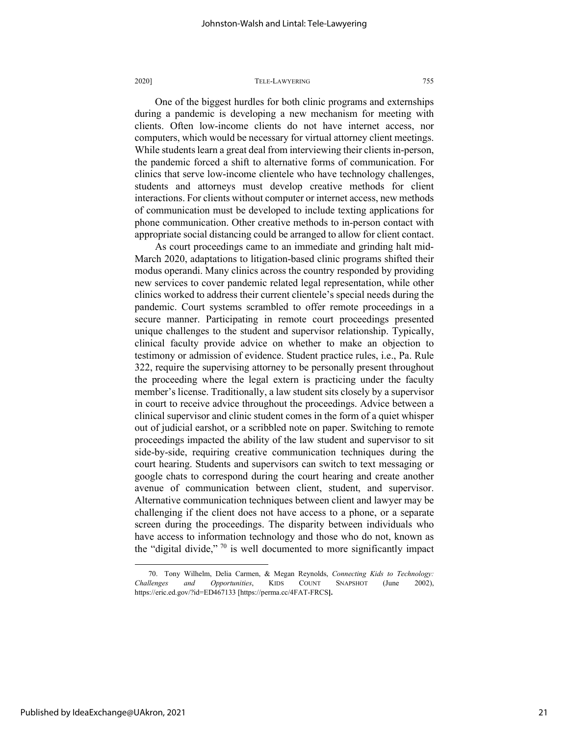One of the biggest hurdles for both clinic programs and externships during a pandemic is developing a new mechanism for meeting with clients. Often low-income clients do not have internet access, nor computers, which would be necessary for virtual attorney client meetings. While students learn a great deal from interviewing their clients in-person, the pandemic forced a shift to alternative forms of communication. For clinics that serve low-income clientele who have technology challenges, students and attorneys must develop creative methods for client interactions. For clients without computer or internet access, new methods of communication must be developed to include texting applications for phone communication. Other creative methods to in-person contact with appropriate social distancing could be arranged to allow for client contact.

As court proceedings came to an immediate and grinding halt mid-March 2020, adaptations to litigation-based clinic programs shifted their modus operandi. Many clinics across the country responded by providing new services to cover pandemic related legal representation, while other clinics worked to address their current clientele's special needs during the pandemic. Court systems scrambled to offer remote proceedings in a secure manner. Participating in remote court proceedings presented unique challenges to the student and supervisor relationship. Typically, clinical faculty provide advice on whether to make an objection to testimony or admission of evidence. Student practice rules, i.e., Pa. Rule 322, require the supervising attorney to be personally present throughout the proceeding where the legal extern is practicing under the faculty member's license. Traditionally, a law student sits closely by a supervisor in court to receive advice throughout the proceedings. Advice between a clinical supervisor and clinic student comes in the form of a quiet whisper out of judicial earshot, or a scribbled note on paper. Switching to remote proceedings impacted the ability of the law student and supervisor to sit side-by-side, requiring creative communication techniques during the court hearing. Students and supervisors can switch to text messaging or google chats to correspond during the court hearing and create another avenue of communication between client, student, and supervisor. Alternative communication techniques between client and lawyer may be challenging if the client does not have access to a phone, or a separate screen during the proceedings. The disparity between individuals who have access to information technology and those who do not, known as the "digital divide,"  $70$  is well documented to more significantly impact

<span id="page-21-0"></span><sup>70.</sup> Tony Wilhelm, Delia Carmen, & Megan Reynolds, *Connecting Kids to Technology: Challenges and Opportunities*, KIDS COUNT SNAPSHOT (June 2002), https://eric.ed.gov/?id=ED467133 [https://perma.cc/4FAT-FRCS**].**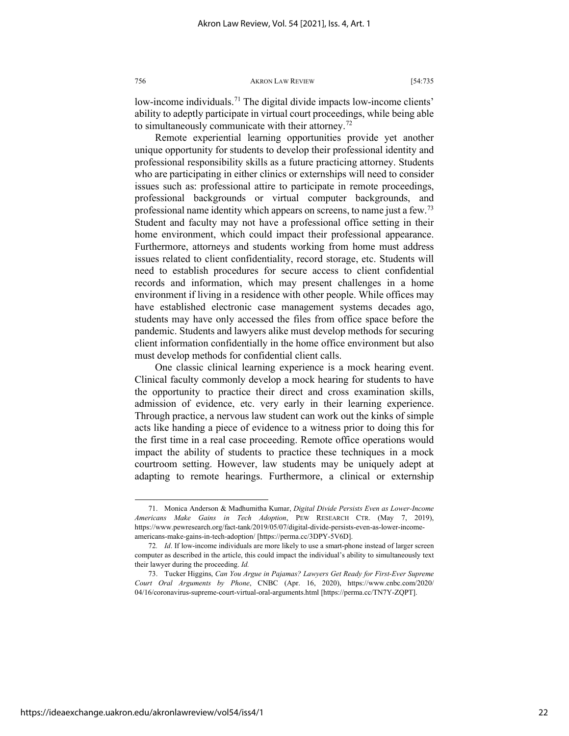low-income individuals.<sup>[71](#page-22-0)</sup> The digital divide impacts low-income clients' ability to adeptly participate in virtual court proceedings, while being able to simultaneously communicate with their attorney.<sup>[72](#page-22-1)</sup>

Remote experiential learning opportunities provide yet another unique opportunity for students to develop their professional identity and professional responsibility skills as a future practicing attorney. Students who are participating in either clinics or externships will need to consider issues such as: professional attire to participate in remote proceedings, professional backgrounds or virtual computer backgrounds, and professional name identity which appears on screens, to name just a few.<sup>[73](#page-22-2)</sup> Student and faculty may not have a professional office setting in their home environment, which could impact their professional appearance. Furthermore, attorneys and students working from home must address issues related to client confidentiality, record storage, etc. Students will need to establish procedures for secure access to client confidential records and information, which may present challenges in a home environment if living in a residence with other people. While offices may have established electronic case management systems decades ago, students may have only accessed the files from office space before the pandemic. Students and lawyers alike must develop methods for securing client information confidentially in the home office environment but also must develop methods for confidential client calls.

One classic clinical learning experience is a mock hearing event. Clinical faculty commonly develop a mock hearing for students to have the opportunity to practice their direct and cross examination skills, admission of evidence, etc. very early in their learning experience. Through practice, a nervous law student can work out the kinks of simple acts like handing a piece of evidence to a witness prior to doing this for the first time in a real case proceeding. Remote office operations would impact the ability of students to practice these techniques in a mock courtroom setting. However, law students may be uniquely adept at adapting to remote hearings. Furthermore, a clinical or externship

<span id="page-22-0"></span><sup>71.</sup> Monica Anderson & Madhumitha Kumar, *Digital Divide Persists Even as Lower-Income Americans Make Gains in Tech Adoption*, PEW RESEARCH CTR. (May 7, 2019), https://www.pewresearch.org/fact-tank/2019/05/07/digital-divide-persists-even-as-lower-incomeamericans-make-gains-in-tech-adoption/ [https://perma.cc/3DPY-5V6D].

<span id="page-22-1"></span><sup>72</sup>*. Id*. If low-income individuals are more likely to use a smart-phone instead of larger screen computer as described in the article, this could impact the individual's ability to simultaneously text their lawyer during the proceeding. *Id.*

<span id="page-22-2"></span><sup>73.</sup> Tucker Higgins, *Can You Argue in Pajamas? Lawyers Get Ready for First-Ever Supreme Court Oral Arguments by Phone*, CNBC (Apr. 16, 2020), https://www.cnbc.com/2020/ 04/16/coronavirus-supreme-court-virtual-oral-arguments.html [https://perma.cc/TN7Y-ZQPT].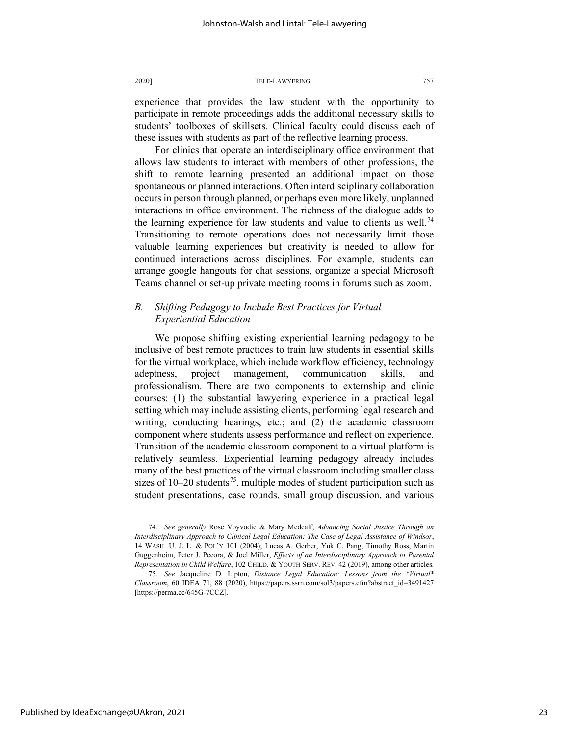experience that provides the law student with the opportunity to participate in remote proceedings adds the additional necessary skills to students' toolboxes of skillsets. Clinical faculty could discuss each of these issues with students as part of the reflective learning process.

For clinics that operate an interdisciplinary office environment that allows law students to interact with members of other professions, the shift to remote learning presented an additional impact on those spontaneous or planned interactions. Often interdisciplinary collaboration occurs in person through planned, or perhaps even more likely, unplanned interactions in office environment. The richness of the dialogue adds to the learning experience for law students and value to clients as well.<sup>[74](#page-23-0)</sup> Transitioning to remote operations does not necessarily limit those valuable learning experiences but creativity is needed to allow for continued interactions across disciplines. For example, students can arrange google hangouts for chat sessions, organize a special Microsoft Teams channel or set-up private meeting rooms in forums such as zoom.

#### *B. Shifting Pedagogy to Include Best Practices for Virtual Experiential Education*

We propose shifting existing experiential learning pedagogy to be inclusive of best remote practices to train law students in essential skills for the virtual workplace, which include workflow efficiency, technology adeptness, project management, communication skills, and professionalism. There are two components to externship and clinic courses: (1) the substantial lawyering experience in a practical legal setting which may include assisting clients, performing legal research and writing, conducting hearings, etc.; and (2) the academic classroom component where students assess performance and reflect on experience. Transition of the academic classroom component to a virtual platform is relatively seamless. Experiential learning pedagogy already includes many of the best practices of the virtual classroom including smaller class sizes of  $10-20$  students<sup>75</sup>, multiple modes of student participation such as student presentations, case rounds, small group discussion, and various

<span id="page-23-0"></span><sup>74</sup>*. See generally* Rose Voyvodic & Mary Medcalf, *Advancing Social Justice Through an Interdisciplinary Approach to Clinical Legal Education: The Case of Legal Assistance of Windsor*, 14 WASH. U. J. L. & POL'Y 101 (2004); Lucas A. Gerber, Yuk C. Pang, Timothy Ross, Martin Guggenheim, Peter J. Pecora, & Joel Miller, *Effects of an Interdisciplinary Approach to Parental Representation in Child Welfare*, 102 CHILD. & YOUTH SERV. REV. 42 (2019), among other articles.

<span id="page-23-1"></span><sup>75</sup>*. See* Jacqueline D. Lipton, *Distance Legal Education: Lessons from the \*Virtual\* Classroom*, 60 IDEA 71, 88 (2020), [https://papers.ssrn.com/sol3/papers.cfm?abstract\\_id=3491427](https://papers.ssrn.com/sol3/papers.cfm?abstract_id=3491427) **[**https://perma.cc/645G-7CCZ].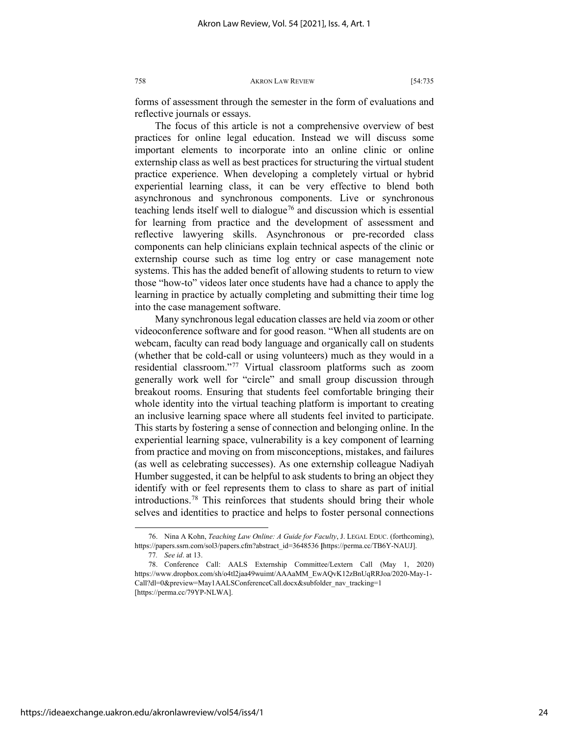forms of assessment through the semester in the form of evaluations and reflective journals or essays.

The focus of this article is not a comprehensive overview of best practices for online legal education. Instead we will discuss some important elements to incorporate into an online clinic or online externship class as well as best practices for structuring the virtual student practice experience. When developing a completely virtual or hybrid experiential learning class, it can be very effective to blend both asynchronous and synchronous components. Live or synchronous teaching lends itself well to dialogue<sup>[76](#page-24-0)</sup> and discussion which is essential for learning from practice and the development of assessment and reflective lawyering skills. Asynchronous or pre-recorded class components can help clinicians explain technical aspects of the clinic or externship course such as time log entry or case management note systems. This has the added benefit of allowing students to return to view those "how-to" videos later once students have had a chance to apply the learning in practice by actually completing and submitting their time log into the case management software.

Many synchronous legal education classes are held via zoom or other videoconference software and for good reason. "When all students are on webcam, faculty can read body language and organically call on students (whether that be cold-call or using volunteers) much as they would in a residential classroom."[77](#page-24-1) Virtual classroom platforms such as zoom generally work well for "circle" and small group discussion through breakout rooms. Ensuring that students feel comfortable bringing their whole identity into the virtual teaching platform is important to creating an inclusive learning space where all students feel invited to participate. This starts by fostering a sense of connection and belonging online. In the experiential learning space, vulnerability is a key component of learning from practice and moving on from misconceptions, mistakes, and failures (as well as celebrating successes). As one externship colleague Nadiyah Humber suggested, it can be helpful to ask students to bring an object they identify with or feel represents them to class to share as part of initial introductions.[78](#page-24-2) This reinforces that students should bring their whole selves and identities to practice and helps to foster personal connections

<span id="page-24-0"></span><sup>76.</sup> Nina A Kohn, *Teaching Law Online: A Guide for Faculty*, J. LEGAL EDUC. (forthcoming), https://papers.ssrn.com/sol3/papers.cfm?abstract\_id=3648536 **[**https://perma.cc/TB6Y-NAUJ].

<sup>77</sup>*. See id*. at 13.

<span id="page-24-2"></span><span id="page-24-1"></span><sup>78.</sup> Conference Call: AALS Externship Committee/Lextern Call (May 1, 2020) https://www.dropbox.com/sh/o4tl2jaa49wuimt/AAAaMM\_EwAQvK12zBnUqRRJoa/2020-May-1- Call?dl=0&preview=May1AALSConferenceCall.docx&subfolder\_nav\_tracking=1 [https://perma.cc/79YP-NLWA].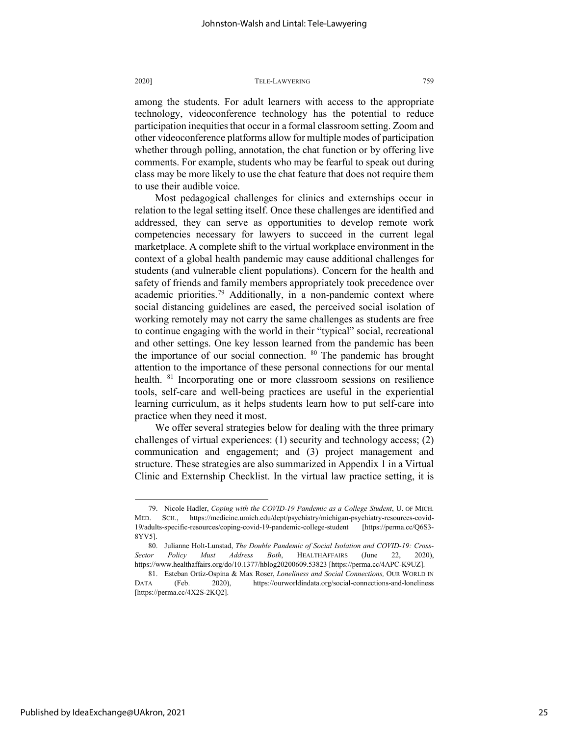among the students. For adult learners with access to the appropriate technology, videoconference technology has the potential to reduce participation inequities that occur in a formal classroom setting. Zoom and other videoconference platforms allow for multiple modes of participation whether through polling, annotation, the chat function or by offering live comments. For example, students who may be fearful to speak out during class may be more likely to use the chat feature that does not require them to use their audible voice.

Most pedagogical challenges for clinics and externships occur in relation to the legal setting itself. Once these challenges are identified and addressed, they can serve as opportunities to develop remote work competencies necessary for lawyers to succeed in the current legal marketplace. A complete shift to the virtual workplace environment in the context of a global health pandemic may cause additional challenges for students (and vulnerable client populations). Concern for the health and safety of friends and family members appropriately took precedence over academic priorities.<sup>[79](#page-25-0)</sup> Additionally, in a non-pandemic context where social distancing guidelines are eased, the perceived social isolation of working remotely may not carry the same challenges as students are free to continue engaging with the world in their "typical" social, recreational and other settings. One key lesson learned from the pandemic has been the importance of our social connection. <sup>[80](#page-25-1)</sup> The pandemic has brought attention to the importance of these personal connections for our mental health. <sup>[81](#page-25-2)</sup> Incorporating one or more classroom sessions on resilience tools, self-care and well-being practices are useful in the experiential learning curriculum, as it helps students learn how to put self-care into practice when they need it most.

We offer several strategies below for dealing with the three primary challenges of virtual experiences: (1) security and technology access; (2) communication and engagement; and (3) project management and structure. These strategies are also summarized in Appendix 1 in a Virtual Clinic and Externship Checklist. In the virtual law practice setting, it is

<span id="page-25-0"></span><sup>79.</sup> Nicole Hadler, *Coping with the COVID-19 Pandemic as a College Student*, U. OF MICH. MED. SCH., https://medicine.umich.edu/dept/psychiatry/michigan-psychiatry-resources-covid-19/adults-specific-resources/coping-covid-19-pandemic-college-student [https://perma.cc/Q6S3- 8YV5].

<span id="page-25-1"></span><sup>80.</sup> Julianne Holt-Lunstad, *The Double Pandemic of Social Isolation and COVID-19: Cross-Sector Policy Must Address Both*, HEALTHAFFAIRS (June 22, 2020), https://www.healthaffairs.org/do/10.1377/hblog20200609.53823 [https://perma.cc/4APC-K9UZ].

<span id="page-25-2"></span><sup>81.</sup> Esteban Ortiz-Ospina & Max Roser, *Loneliness and Social Connections,* OUR WORLD IN DATA (Feb. 2020), https://ourworldindata.org/social-connections-and-loneliness [https://perma.cc/4X2S-2KQ2].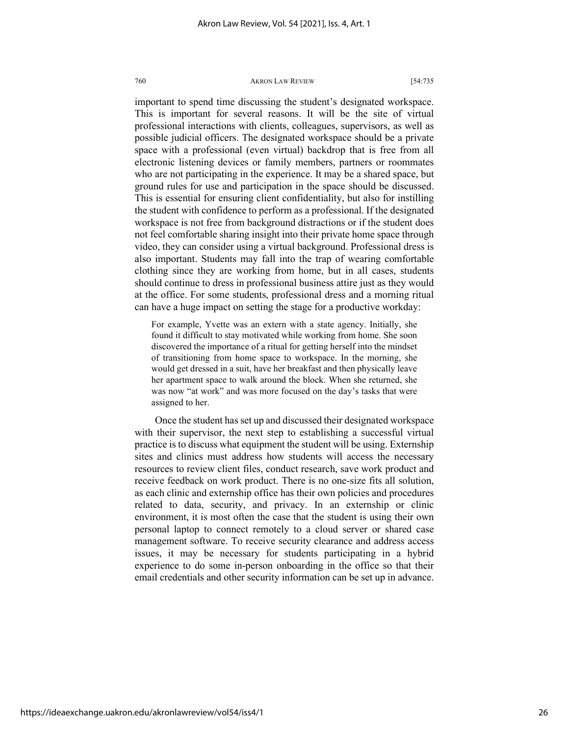important to spend time discussing the student's designated workspace. This is important for several reasons. It will be the site of virtual professional interactions with clients, colleagues, supervisors, as well as possible judicial officers. The designated workspace should be a private space with a professional (even virtual) backdrop that is free from all electronic listening devices or family members, partners or roommates who are not participating in the experience. It may be a shared space, but ground rules for use and participation in the space should be discussed. This is essential for ensuring client confidentiality, but also for instilling the student with confidence to perform as a professional. If the designated workspace is not free from background distractions or if the student does not feel comfortable sharing insight into their private home space through video, they can consider using a virtual background. Professional dress is also important. Students may fall into the trap of wearing comfortable clothing since they are working from home, but in all cases, students should continue to dress in professional business attire just as they would at the office. For some students, professional dress and a morning ritual can have a huge impact on setting the stage for a productive workday:

For example, Yvette was an extern with a state agency. Initially, she found it difficult to stay motivated while working from home. She soon discovered the importance of a ritual for getting herself into the mindset of transitioning from home space to workspace. In the morning, she would get dressed in a suit, have her breakfast and then physically leave her apartment space to walk around the block. When she returned, she was now "at work" and was more focused on the day's tasks that were assigned to her.

Once the student has set up and discussed their designated workspace with their supervisor, the next step to establishing a successful virtual practice is to discuss what equipment the student will be using. Externship sites and clinics must address how students will access the necessary resources to review client files, conduct research, save work product and receive feedback on work product. There is no one-size fits all solution, as each clinic and externship office has their own policies and procedures related to data, security, and privacy. In an externship or clinic environment, it is most often the case that the student is using their own personal laptop to connect remotely to a cloud server or shared case management software. To receive security clearance and address access issues, it may be necessary for students participating in a hybrid experience to do some in-person onboarding in the office so that their email credentials and other security information can be set up in advance.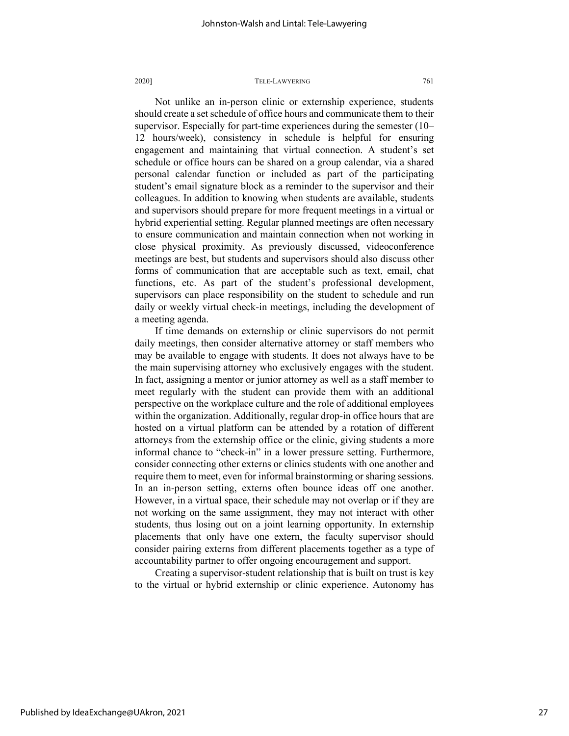Not unlike an in-person clinic or externship experience, students should create a set schedule of office hours and communicate them to their supervisor. Especially for part-time experiences during the semester (10– 12 hours/week), consistency in schedule is helpful for ensuring engagement and maintaining that virtual connection. A student's set schedule or office hours can be shared on a group calendar, via a shared personal calendar function or included as part of the participating student's email signature block as a reminder to the supervisor and their colleagues. In addition to knowing when students are available, students and supervisors should prepare for more frequent meetings in a virtual or hybrid experiential setting. Regular planned meetings are often necessary to ensure communication and maintain connection when not working in close physical proximity. As previously discussed, videoconference meetings are best, but students and supervisors should also discuss other forms of communication that are acceptable such as text, email, chat functions, etc. As part of the student's professional development, supervisors can place responsibility on the student to schedule and run daily or weekly virtual check-in meetings, including the development of a meeting agenda.

If time demands on externship or clinic supervisors do not permit daily meetings, then consider alternative attorney or staff members who may be available to engage with students. It does not always have to be the main supervising attorney who exclusively engages with the student. In fact, assigning a mentor or junior attorney as well as a staff member to meet regularly with the student can provide them with an additional perspective on the workplace culture and the role of additional employees within the organization. Additionally, regular drop-in office hours that are hosted on a virtual platform can be attended by a rotation of different attorneys from the externship office or the clinic, giving students a more informal chance to "check-in" in a lower pressure setting. Furthermore, consider connecting other externs or clinics students with one another and require them to meet, even for informal brainstorming or sharing sessions. In an in-person setting, externs often bounce ideas off one another. However, in a virtual space, their schedule may not overlap or if they are not working on the same assignment, they may not interact with other students, thus losing out on a joint learning opportunity. In externship placements that only have one extern, the faculty supervisor should consider pairing externs from different placements together as a type of accountability partner to offer ongoing encouragement and support.

Creating a supervisor-student relationship that is built on trust is key to the virtual or hybrid externship or clinic experience. Autonomy has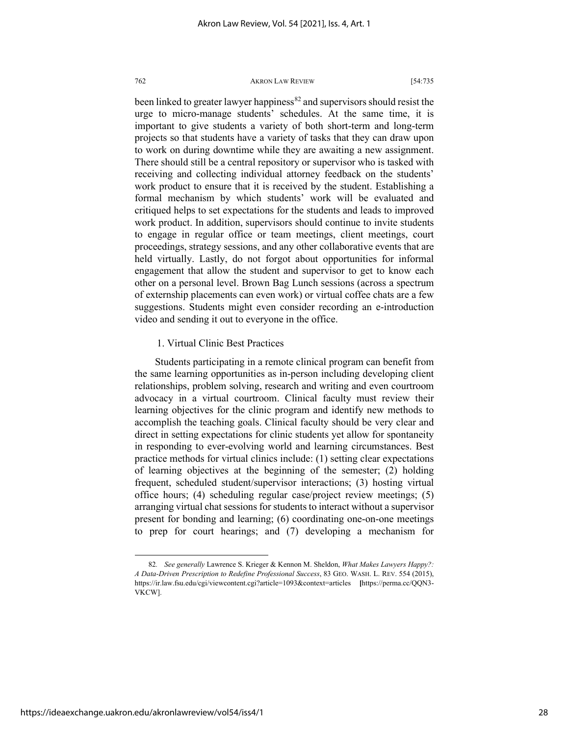been linked to greater lawyer happiness $82$  and supervisors should resist the urge to micro-manage students' schedules. At the same time, it is important to give students a variety of both short-term and long-term projects so that students have a variety of tasks that they can draw upon to work on during downtime while they are awaiting a new assignment. There should still be a central repository or supervisor who is tasked with receiving and collecting individual attorney feedback on the students' work product to ensure that it is received by the student. Establishing a formal mechanism by which students' work will be evaluated and critiqued helps to set expectations for the students and leads to improved work product. In addition, supervisors should continue to invite students to engage in regular office or team meetings, client meetings, court proceedings, strategy sessions, and any other collaborative events that are held virtually. Lastly, do not forgot about opportunities for informal engagement that allow the student and supervisor to get to know each other on a personal level. Brown Bag Lunch sessions (across a spectrum of externship placements can even work) or virtual coffee chats are a few suggestions. Students might even consider recording an e-introduction video and sending it out to everyone in the office.

#### 1. Virtual Clinic Best Practices

Students participating in a remote clinical program can benefit from the same learning opportunities as in-person including developing client relationships, problem solving, research and writing and even courtroom advocacy in a virtual courtroom. Clinical faculty must review their learning objectives for the clinic program and identify new methods to accomplish the teaching goals. Clinical faculty should be very clear and direct in setting expectations for clinic students yet allow for spontaneity in responding to ever-evolving world and learning circumstances. Best practice methods for virtual clinics include: (1) setting clear expectations of learning objectives at the beginning of the semester; (2) holding frequent, scheduled student/supervisor interactions; (3) hosting virtual office hours; (4) scheduling regular case/project review meetings; (5) arranging virtual chat sessions for students to interact without a supervisor present for bonding and learning; (6) coordinating one-on-one meetings to prep for court hearings; and (7) developing a mechanism for

<span id="page-28-0"></span><sup>82</sup>*. See generally* Lawrence S. Krieger & Kennon M. Sheldon, *What Makes Lawyers Happy?: A Data-Driven Prescription to Redefine Professional Success*, 83 GEO. WASH. L. REV. 554 (2015), https://ir.law.fsu.edu/cgi/viewcontent.cgi?article=1093&context=articles **[**https://perma.cc/QQN3- VKCW].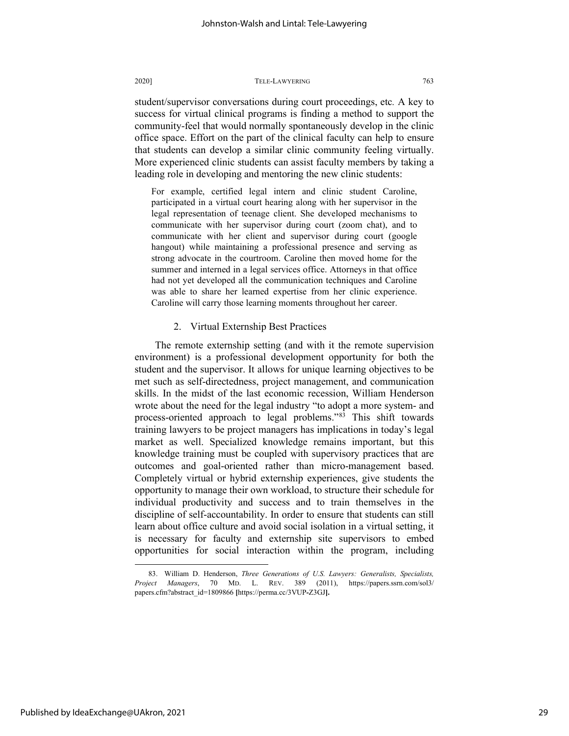student/supervisor conversations during court proceedings, etc*.* A key to success for virtual clinical programs is finding a method to support the community-feel that would normally spontaneously develop in the clinic office space. Effort on the part of the clinical faculty can help to ensure that students can develop a similar clinic community feeling virtually. More experienced clinic students can assist faculty members by taking a leading role in developing and mentoring the new clinic students:

For example, certified legal intern and clinic student Caroline, participated in a virtual court hearing along with her supervisor in the legal representation of teenage client. She developed mechanisms to communicate with her supervisor during court (zoom chat), and to communicate with her client and supervisor during court (google hangout) while maintaining a professional presence and serving as strong advocate in the courtroom. Caroline then moved home for the summer and interned in a legal services office. Attorneys in that office had not yet developed all the communication techniques and Caroline was able to share her learned expertise from her clinic experience. Caroline will carry those learning moments throughout her career.

#### 2. Virtual Externship Best Practices

The remote externship setting (and with it the remote supervision environment) is a professional development opportunity for both the student and the supervisor. It allows for unique learning objectives to be met such as self-directedness, project management, and communication skills. In the midst of the last economic recession, William Henderson wrote about the need for the legal industry "to adopt a more system- and process-oriented approach to legal problems."[83](#page-29-0) This shift towards training lawyers to be project managers has implications in today's legal market as well. Specialized knowledge remains important, but this knowledge training must be coupled with supervisory practices that are outcomes and goal-oriented rather than micro-management based. Completely virtual or hybrid externship experiences, give students the opportunity to manage their own workload, to structure their schedule for individual productivity and success and to train themselves in the discipline of self-accountability. In order to ensure that students can still learn about office culture and avoid social isolation in a virtual setting, it is necessary for faculty and externship site supervisors to embed opportunities for social interaction within the program, including

<span id="page-29-0"></span><sup>83.</sup> William D. Henderson, *Three Generations of U.S. Lawyers: Generalists, Specialists, Project Managers*, 70 MD. L. REV. 389 (2011), https://papers.ssrn.com/sol3/ papers.cfm?abstract\_id=1809866 **[**https://perma.cc/3VUP**-**Z3GJ**].**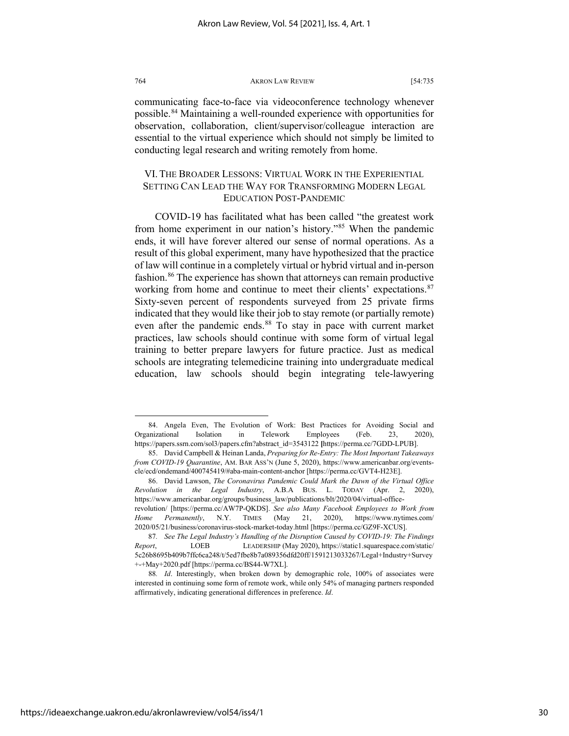communicating face-to-face via videoconference technology whenever possible.[84](#page-30-0) Maintaining a well-rounded experience with opportunities for observation, collaboration, client/supervisor/colleague interaction are essential to the virtual experience which should not simply be limited to conducting legal research and writing remotely from home.

#### VI. THE BROADER LESSONS: VIRTUAL WORK IN THE EXPERIENTIAL SETTING CAN LEAD THE WAY FOR TRANSFORMING MODERN LEGAL EDUCATION POST-PANDEMIC

COVID-19 has facilitated what has been called "the greatest work from home experiment in our nation's history."[85](#page-30-1) When the pandemic ends, it will have forever altered our sense of normal operations. As a result of this global experiment, many have hypothesized that the practice of law will continue in a completely virtual or hybrid virtual and in-person fashion.<sup>[86](#page-30-2)</sup> The experience has shown that attorneys can remain productive working from home and continue to meet their clients' expectations.<sup>[87](#page-30-3)</sup> Sixty-seven percent of respondents surveyed from 25 private firms indicated that they would like their job to stay remote (or partially remote) even after the pandemic ends.<sup>[88](#page-30-4)</sup> To stay in pace with current market practices, law schools should continue with some form of virtual legal training to better prepare lawyers for future practice. Just as medical schools are integrating telemedicine training into undergraduate medical education, law schools should begin integrating tele-lawyering

<span id="page-30-0"></span><sup>84.</sup> Angela Even, The Evolution of Work: Best Practices for Avoiding Social and Organizational Isolation in Telework Employees (Feb. 23, 2020), https://papers.ssrn.com/sol3/papers.cfm?abstract\_id=3543122 **[**https://perma.cc/7GDD-LPUB].

<span id="page-30-1"></span><sup>85.</sup> David Campbell & Heinan Landa, *Preparing for Re-Entry: The Most Important Takeaways from COVID-19 Quarantine*, AM. BAR ASS'N (June 5, 2020), https://www.americanbar.org/eventscle/ecd/ondemand/400745419/#aba-main-content-anchor [https://perma.cc/GVT4-H23E].

<span id="page-30-2"></span><sup>86.</sup> David Lawson, *The Coronavirus Pandemic Could Mark the Dawn of the Virtual Office Revolution in the Legal Industry*, A.B.A BUS. L. TODAY (Apr. 2, 2020), https://www.americanbar.org/groups/business\_law/publications/blt/2020/04/virtual-officerevolution/ [https://perma.cc/AW7P-QKDS]. *See also Many Facebook Employees to Work from Home Permanently*, N.Y. TIMES (May 21, 2020), https://www.nytimes.com/ 2020/05/21/business/coronavirus-stock-market-today.html [https://perma.cc/GZ9F-XCUS].

<span id="page-30-3"></span><sup>87</sup>*. See The Legal Industry's Handling of the Disruption Caused by COVID-19: The Findings Report*, LOEB LEADERSHIP (May 2020), https://static1.squarespace.com/static/ 5c26b8695b409b7ffc6ca248/t/5ed7fbe8b7a089356dfd20ff/1591213033267/Legal+Industry+Survey +-+May+2020.pdf [https://perma.cc/BS44-W7XL].

<span id="page-30-4"></span><sup>88</sup>*. Id*. Interestingly, when broken down by demographic role, 100% of associates were interested in continuing some form of remote work, while only 54% of managing partners responded affirmatively, indicating generational differences in preference. *Id*.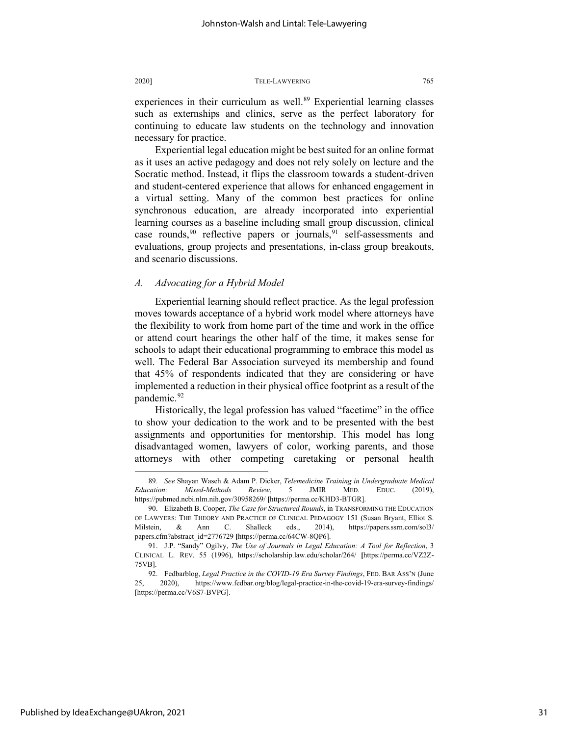experiences in their curriculum as well.<sup>[89](#page-31-0)</sup> Experiential learning classes such as externships and clinics, serve as the perfect laboratory for continuing to educate law students on the technology and innovation necessary for practice.

Experiential legal education might be best suited for an online format as it uses an active pedagogy and does not rely solely on lecture and the Socratic method. Instead, it flips the classroom towards a student-driven and student-centered experience that allows for enhanced engagement in a virtual setting. Many of the common best practices for online synchronous education, are already incorporated into experiential learning courses as a baseline including small group discussion, clinical case rounds,  $90$  reflective papers or journals,  $91$  self-assessments and evaluations, group projects and presentations, in-class group breakouts, and scenario discussions.

#### *A. Advocating for a Hybrid Model*

Experiential learning should reflect practice. As the legal profession moves towards acceptance of a hybrid work model where attorneys have the flexibility to work from home part of the time and work in the office or attend court hearings the other half of the time, it makes sense for schools to adapt their educational programming to embrace this model as well. The Federal Bar Association surveyed its membership and found that 45% of respondents indicated that they are considering or have implemented a reduction in their physical office footprint as a result of the pandemic.<sup>[92](#page-31-3)</sup>

Historically, the legal profession has valued "facetime" in the office to show your dedication to the work and to be presented with the best assignments and opportunities for mentorship. This model has long disadvantaged women, lawyers of color, working parents, and those attorneys with other competing caretaking or personal health

<span id="page-31-0"></span><sup>89</sup>*. See* Shayan Waseh & Adam P. Dicker, *Telemedicine Training in Undergraduate Medical Education: Mixed-Methods Review*, 5 JMIR MED. EDUC. (2019), https://pubmed.ncbi.nlm.nih.gov/30958269/ **[**https://perma.cc/KHD3-BTGR].

<span id="page-31-1"></span><sup>90.</sup> Elizabeth B. Cooper, *The Case for Structured Rounds*, in TRANSFORMING THE EDUCATION OF LAWYERS: THE THEORY AND PRACTICE OF CLINICAL PEDAGOGY 151 (Susan Bryant, Elliot S. Milstein, & Ann C. Shalleck eds., 2014), https://papers.ssrn.com/sol3/ papers.cfm?abstract\_id=2776729 **[**https://perma.cc/64CW-8QP6].

<span id="page-31-2"></span><sup>91.</sup> J.P. "Sandy" Ogilvy, *The Use of Journals in Legal Education: A Tool for Reflection*, 3 CLINICAL L. REV. 55 (1996), https://scholarship.law.edu/scholar/264/ **[**https://perma.cc/VZ2Z-75VB].

<span id="page-31-3"></span><sup>92.</sup> Fedbarblog, *Legal Practice in the COVID-19 Era Survey Findings*, FED. BAR ASS'N (June 25, 2020), https://www.fedbar.org/blog/legal-practice-in-the-covid-19-era-survey-findings/ [https://perma.cc/V6S7-BVPG].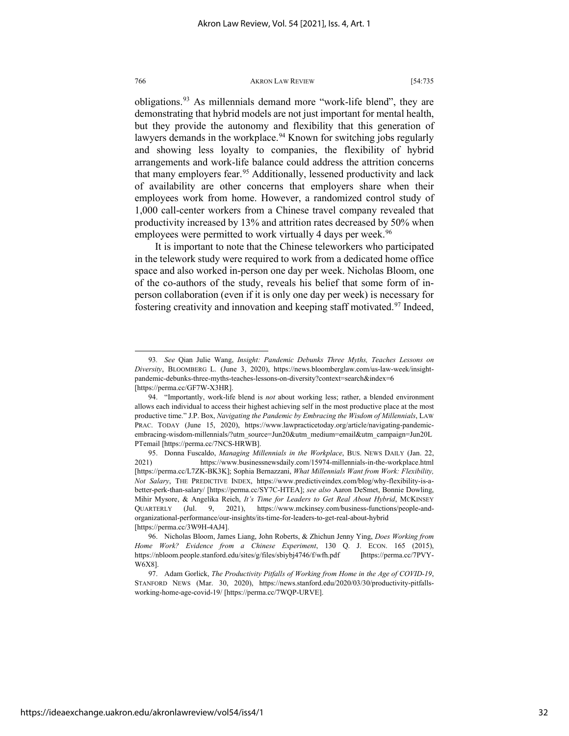obligations.<sup>[93](#page-32-0)</sup> As millennials demand more "work-life blend", they are demonstrating that hybrid models are not just important for mental health, but they provide the autonomy and flexibility that this generation of lawyers demands in the workplace.<sup>[94](#page-32-1)</sup> Known for switching jobs regularly and showing less loyalty to companies, the flexibility of hybrid arrangements and work-life balance could address the attrition concerns that many employers fear.<sup>[95](#page-32-2)</sup> Additionally, lessened productivity and lack of availability are other concerns that employers share when their employees work from home. However, a randomized control study of 1,000 call-center workers from a Chinese travel company revealed that productivity increased by 13% and attrition rates decreased by 50% when employees were permitted to work virtually 4 days per week.<sup>[96](#page-32-3)</sup>

It is important to note that the Chinese teleworkers who participated in the telework study were required to work from a dedicated home office space and also worked in-person one day per week. Nicholas Bloom, one of the co-authors of the study, reveals his belief that some form of inperson collaboration (even if it is only one day per week) is necessary for fostering creativity and innovation and keeping staff motivated.<sup>97</sup> Indeed,

<span id="page-32-0"></span><sup>93</sup>*. See* Qian Julie Wang, *Insight: Pandemic Debunks Three Myths, Teaches Lessons on Diversity*, BLOOMBERG L. (June 3, 2020), https://news.bloomberglaw.com/us-law-week/insightpandemic-debunks-three-myths-teaches-lessons-on-diversity?context=search&index=6 [https://perma.cc/GF7W-X3HR].

<span id="page-32-1"></span><sup>94. &</sup>quot;Importantly, work-life blend is *not* about working less; rather, a blended environment allows each individual to access their highest achieving self in the most productive place at the most productive time." J.P. Box, *Navigating the Pandemic by Embracing the Wisdom of Millennials*, LAW PRAC. TODAY (June 15, 2020), https://www.lawpracticetoday.org/article/navigating-pandemicembracing-wisdom-millennials/?utm\_source=Jun20&utm\_medium=email&utm\_campaign=Jun20L PTemail [https://perma.cc/7NCS-HRWB].

<span id="page-32-2"></span><sup>95.</sup> Donna Fuscaldo, *Managing Millennials in the Workplace*, BUS. NEWS DAILY (Jan. 22, 2021) https://www.businessnewsdaily.com/15974-millennials-in-the-workplace.html [https://perma.cc/L7ZK-BK3K]; Sophia Bernazzani, *What Millennials Want from Work: Flexibility, Not Salary*, THE PREDICTIVE INDEX, https://www.predictiveindex.com/blog/why-flexibility-is-abetter-perk-than-salary/ [https://perma.cc/SY7C-HTEA]; *see also* Aaron DeSmet, Bonnie Dowling, Mihir Mysore, & Angelika Reich, *It's Time for Leaders to Get Real About Hybrid*, MCKINSEY QUARTERLY (Jul. 9, 2021), https://www.mckinsey.com/business-functions/people-andorganizational-performance/our-insights/its-time-for-leaders-to-get-real-about-hybrid [https://perma.cc/3W9H-4AJ4].

<span id="page-32-3"></span><sup>96.</sup> Nicholas Bloom, James Liang, John Roberts, & Zhichun Jenny Ying, *Does Working from Home Work? Evidence from a Chinese Experiment*, 130 Q. J. ECON. 165 (2015), https://nbloom.people.stanford.edu/sites/g/files/sbiybj4746/f/wfh.pdf **[**https://perma.cc/7PVY-W6X8].

<span id="page-32-4"></span><sup>97.</sup> Adam Gorlick, *The Productivity Pitfalls of Working from Home in the Age of COVID-19*, STANFORD NEWS (Mar. 30, 2020), https://news.stanford.edu/2020/03/30/productivity-pitfallsworking-home-age-covid-19/ [https://perma.cc/7WQP-URVE].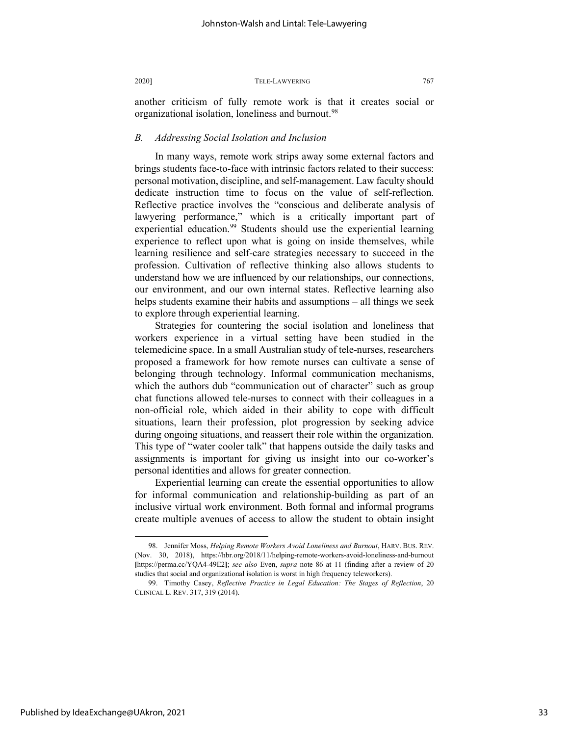another criticism of fully remote work is that it creates social or organizational isolation, loneliness and burnout.<sup>[98](#page-33-0)</sup>

#### *B. Addressing Social Isolation and Inclusion*

In many ways, remote work strips away some external factors and brings students face-to-face with intrinsic factors related to their success: personal motivation, discipline, and self-management. Law faculty should dedicate instruction time to focus on the value of self-reflection. Reflective practice involves the "conscious and deliberate analysis of lawyering performance," which is a critically important part of experiential education.<sup>[99](#page-33-1)</sup> Students should use the experiential learning experience to reflect upon what is going on inside themselves, while learning resilience and self-care strategies necessary to succeed in the profession. Cultivation of reflective thinking also allows students to understand how we are influenced by our relationships, our connections, our environment, and our own internal states. Reflective learning also helps students examine their habits and assumptions – all things we seek to explore through experiential learning.

Strategies for countering the social isolation and loneliness that workers experience in a virtual setting have been studied in the telemedicine space. In a small Australian study of tele-nurses, researchers proposed a framework for how remote nurses can cultivate a sense of belonging through technology. Informal communication mechanisms, which the authors dub "communication out of character" such as group chat functions allowed tele-nurses to connect with their colleagues in a non-official role, which aided in their ability to cope with difficult situations, learn their profession, plot progression by seeking advice during ongoing situations, and reassert their role within the organization. This type of "water cooler talk" that happens outside the daily tasks and assignments is important for giving us insight into our co-worker's personal identities and allows for greater connection.

Experiential learning can create the essential opportunities to allow for informal communication and relationship-building as part of an inclusive virtual work environment. Both formal and informal programs create multiple avenues of access to allow the student to obtain insight

<span id="page-33-0"></span><sup>98.</sup> Jennifer Moss, *Helping Remote Workers Avoid Loneliness and Burnout*, HARV. BUS. REV. (Nov. 30, 2018), https://hbr.org/2018/11/helping-remote-workers-avoid-loneliness-and-burnout **[**https://perma.cc/YQA4-49E2**]**; *see also* Even, *supra* note 86 at 11 (finding after a review of 20 studies that social and organizational isolation is worst in high frequency teleworkers).

<span id="page-33-1"></span><sup>99.</sup> Timothy Casey, *Reflective Practice in Legal Education: The Stages of Reflection*, 20 CLINICAL L. REV. 317, 319 (2014).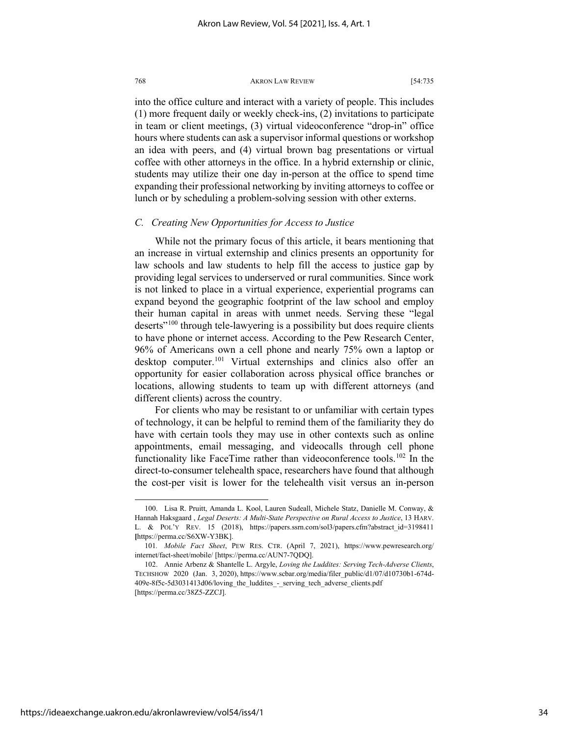into the office culture and interact with a variety of people. This includes (1) more frequent daily or weekly check-ins, (2) invitations to participate in team or client meetings, (3) virtual videoconference "drop-in" office hours where students can ask a supervisor informal questions or workshop an idea with peers, and (4) virtual brown bag presentations or virtual coffee with other attorneys in the office. In a hybrid externship or clinic, students may utilize their one day in-person at the office to spend time expanding their professional networking by inviting attorneys to coffee or lunch or by scheduling a problem-solving session with other externs.

#### *C. Creating New Opportunities for Access to Justice*

While not the primary focus of this article, it bears mentioning that an increase in virtual externship and clinics presents an opportunity for law schools and law students to help fill the access to justice gap by providing legal services to underserved or rural communities. Since work is not linked to place in a virtual experience, experiential programs can expand beyond the geographic footprint of the law school and employ their human capital in areas with unmet needs. Serving these "legal deserts"<sup>[100](#page-34-0)</sup> through tele-lawyering is a possibility but does require clients to have phone or internet access. According to the Pew Research Center, 96% of Americans own a cell phone and nearly 75% own a laptop or desktop computer.<sup>[101](#page-34-1)</sup> Virtual externships and clinics also offer an opportunity for easier collaboration across physical office branches or locations, allowing students to team up with different attorneys (and different clients) across the country.

For clients who may be resistant to or unfamiliar with certain types of technology, it can be helpful to remind them of the familiarity they do have with certain tools they may use in other contexts such as online appointments, email messaging, and videocalls through cell phone functionality like FaceTime rather than videoconference tools.<sup>[102](#page-34-2)</sup> In the direct-to-consumer telehealth space, researchers have found that although the cost-per visit is lower for the telehealth visit versus an in-person

<span id="page-34-0"></span><sup>100.</sup> Lisa R. Pruitt, Amanda L. Kool, Lauren Sudeall, Michele Statz, Danielle M. Conway, & Hannah Haksgaard , *Legal Deserts: A Multi-State Perspective on Rural Access to Justice*, 13 HARV. L. & POL'Y REV. 15 (2018), https://papers.ssrn.com/sol3/papers.cfm?abstract\_id=3198411 **[**https://perma.cc/S6XW-Y3BK].

<span id="page-34-1"></span><sup>101</sup>*. Mobile Fact Sheet*, PEW RES. CTR. (April 7, 2021), https://www.pewresearch.org/ internet/fact-sheet/mobile/ [https://perma.cc/AUN7-7QDQ].

<span id="page-34-2"></span><sup>102.</sup> Annie Arbenz & Shantelle L. Argyle, *Loving the Luddites: Serving Tech-Adverse Clients*, TECHSHOW 2020 (Jan. 3, 2020), https://www.scbar.org/media/filer\_public/d1/07/d10730b1-674d-409e-8f5c-5d3031413d06/loving\_the\_luddites\_-\_serving\_tech\_adverse\_clients.pdf [https://perma.cc/38Z5-ZZCJ].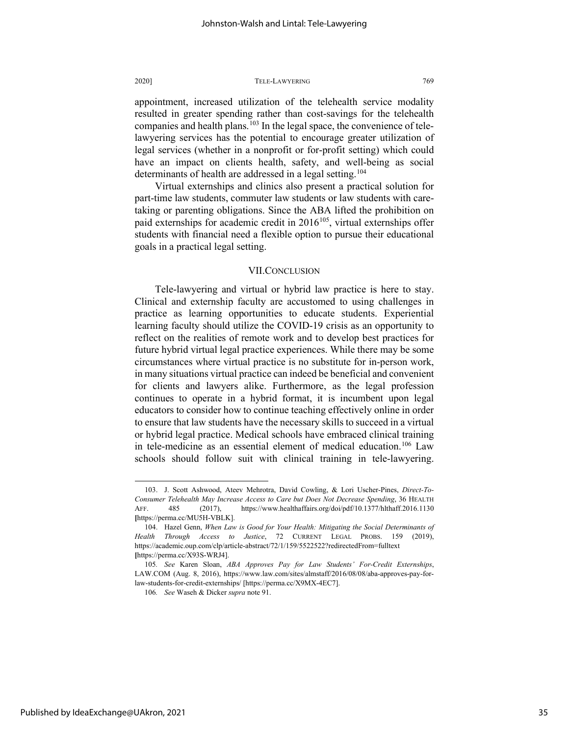appointment, increased utilization of the telehealth service modality resulted in greater spending rather than cost-savings for the telehealth companies and health plans.<sup>[103](#page-35-0)</sup> In the legal space, the convenience of telelawyering services has the potential to encourage greater utilization of legal services (whether in a nonprofit or for-profit setting) which could have an impact on clients health, safety, and well-being as social determinants of health are addressed in a legal setting.<sup>[104](#page-35-1)</sup>

Virtual externships and clinics also present a practical solution for part-time law students, commuter law students or law students with caretaking or parenting obligations. Since the ABA lifted the prohibition on paid externships for academic credit in  $2016^{105}$  $2016^{105}$  $2016^{105}$ , virtual externships offer students with financial need a flexible option to pursue their educational goals in a practical legal setting.

#### VII.CONCLUSION

Tele-lawyering and virtual or hybrid law practice is here to stay. Clinical and externship faculty are accustomed to using challenges in practice as learning opportunities to educate students. Experiential learning faculty should utilize the COVID-19 crisis as an opportunity to reflect on the realities of remote work and to develop best practices for future hybrid virtual legal practice experiences. While there may be some circumstances where virtual practice is no substitute for in-person work, in many situations virtual practice can indeed be beneficial and convenient for clients and lawyers alike. Furthermore, as the legal profession continues to operate in a hybrid format, it is incumbent upon legal educators to consider how to continue teaching effectively online in order to ensure that law students have the necessary skills to succeed in a virtual or hybrid legal practice. Medical schools have embraced clinical training in tele-medicine as an essential element of medical education.<sup>[106](#page-35-3)</sup> Law schools should follow suit with clinical training in tele-lawyering.

<span id="page-35-0"></span><sup>103.</sup> J. Scott Ashwood, Ateev Mehrotra, David Cowling, & Lori Uscher-Pines, *Direct-To-Consumer Telehealth May Increase Access to Care but Does Not Decrease Spending*, 36 HEALTH AFF. 485 (2017), https://www.healthaffairs.org/doi/pdf/10.1377/hlthaff.2016.1130 **[**https://perma.cc/MU5H-VBLK].

<span id="page-35-1"></span><sup>104.</sup> Hazel Genn, *When Law is Good for Your Health: Mitigating the Social Determinants of Health Through Access to Justice*, 72 CURRENT LEGAL PROBS. 159 (2019), https://academic.oup.com/clp/article-abstract/72/1/159/5522522?redirectedFrom=fulltext **[**https://perma.cc/X93S-WRJ4].

<span id="page-35-3"></span><span id="page-35-2"></span><sup>105</sup>*. See* Karen Sloan, *ABA Approves Pay for Law Students' For-Credit Externships*, LAW.COM (Aug. 8, 2016), https://www.law.com/sites/almstaff/2016/08/08/aba-approves-pay-forlaw-students-for-credit-externships/ [https://perma.cc/X9MX-4EC7].

<sup>106</sup>*. See* Waseh & Dicker *supra* note 91.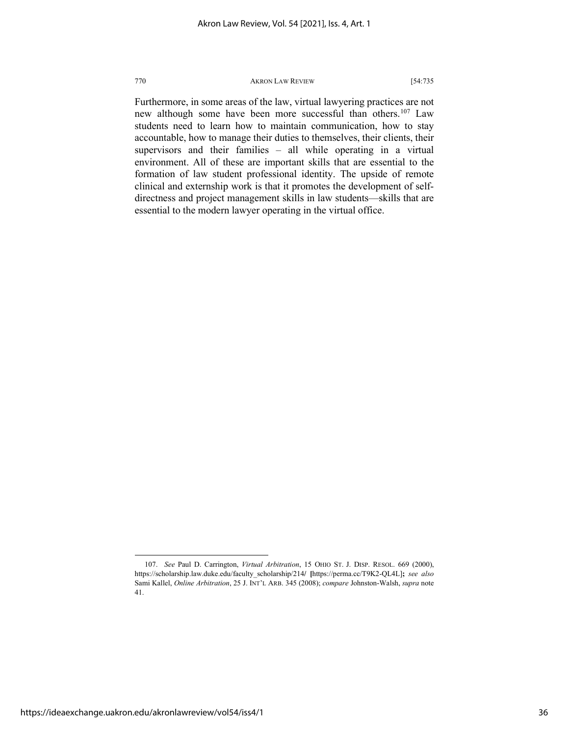Furthermore, in some areas of the law, virtual lawyering practices are not new although some have been more successful than others.<sup>[107](#page-36-0)</sup> Law students need to learn how to maintain communication, how to stay accountable, how to manage their duties to themselves, their clients, their supervisors and their families – all while operating in a virtual environment. All of these are important skills that are essential to the formation of law student professional identity. The upside of remote clinical and externship work is that it promotes the development of selfdirectness and project management skills in law students—skills that are essential to the modern lawyer operating in the virtual office.

<span id="page-36-0"></span><sup>107.</sup> *See* Paul D. Carrington, *Virtual Arbitration*, 15 OHIO ST. J. DISP. RESOL. 669 (2000), https://scholarship.law.duke.edu/faculty\_scholarship/214**/ [**https://perma.cc/T9K2-QL4L]**;** *see also* Sami Kallel, *Online Arbitration*, 25 J. INT'L ARB. 345 (2008); *compare* Johnston-Walsh, *supra* note 41.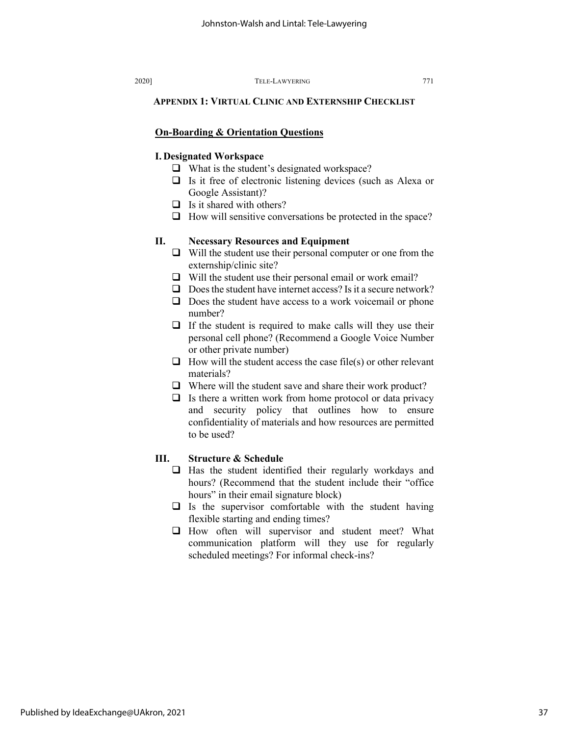#### **APPENDIX 1: VIRTUAL CLINIC AND EXTERNSHIP CHECKLIST**

#### **On-Boarding & Orientation Questions**

#### **I. Designated Workspace**

- □ What is the student's designated workspace?
- $\Box$  Is it free of electronic listening devices (such as Alexa or Google Assistant)?
- $\Box$  Is it shared with others?
- $\Box$  How will sensitive conversations be protected in the space?

### **II. Necessary Resources and Equipment**

- $\Box$  Will the student use their personal computer or one from the externship/clinic site?
- $\Box$  Will the student use their personal email or work email?
- $\Box$  Does the student have internet access? Is it a secure network?
- $\Box$  Does the student have access to a work voicemail or phone number?
- $\Box$  If the student is required to make calls will they use their personal cell phone? (Recommend a Google Voice Number or other private number)
- $\Box$  How will the student access the case file(s) or other relevant materials?
- $\Box$  Where will the student save and share their work product?
- $\Box$  Is there a written work from home protocol or data privacy and security policy that outlines how to ensure confidentiality of materials and how resources are permitted to be used?

#### **III. Structure & Schedule**

- $\Box$  Has the student identified their regularly workdays and hours? (Recommend that the student include their "office hours" in their email signature block)
- $\Box$  Is the supervisor comfortable with the student having flexible starting and ending times?
- $\Box$  How often will supervisor and student meet? What communication platform will they use for regularly scheduled meetings? For informal check-ins?